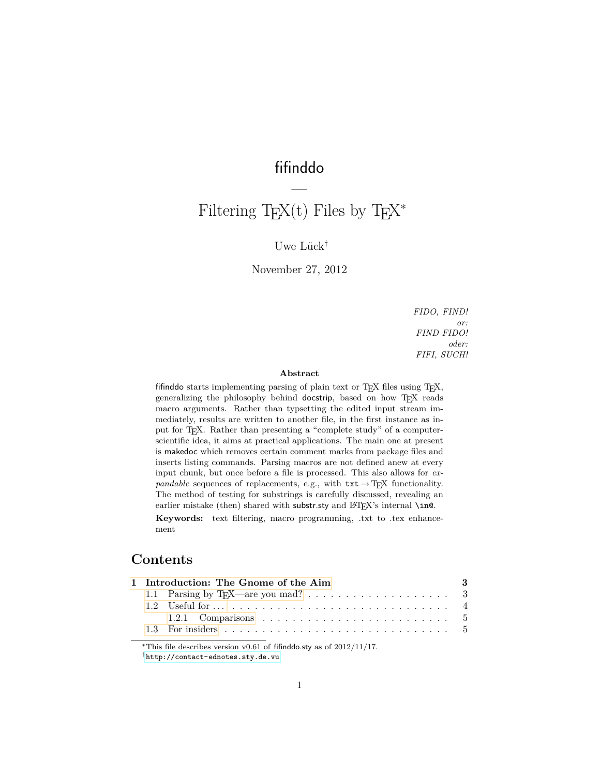## fifinddo

—

# Filtering T<sub>E</sub>X<sup>(t)</sup> Files by T<sub>E</sub>X<sup>\*</sup>

### Uwe Lück<sup>†</sup>

November 27, 2012

*FIDO, FIND! or: FIND FIDO! oder: FIFI, SUCH!*

#### **Abstract**

fifinddo starts implementing parsing of plain text or TEX files using TEX, generalizing the philosophy behind docstrip, based on how TFX reads macro arguments. Rather than typsetting the edited input stream immediately, results are written to another file, in the first instance as input for TEX. Rather than presenting a "complete study" of a computerscientific idea, it aims at practical applications. The main one at present is makedoc which removes certain comment marks from package files and inserts listing commands. Parsing macros are not defined anew at every input chunk, but once before a file is processed. This also allows for *expandable* sequences of replacements, e.g., with  $\text{txt} \rightarrow \text{Tr} X$  functionality. The method of testing for substrings is carefully discussed, revealing an earlier mistake (then) shared with substr.sty and  $\mathbb{F}E[X]$ 's internal \in@.

**Keywords:** text filtering, macro programming, .txt to .tex enhancement

### **Contents**

|  | 1 Introduction: The Gnome of the Aim | - 3 |
|--|--------------------------------------|-----|
|  |                                      |     |
|  |                                      |     |
|  |                                      |     |
|  |                                      |     |
|  |                                      |     |

<sup>\*</sup>This file describes version v0.61 of fifinddo.sty as of  $2012/11/17$ .

<sup>†</sup><http://contact-ednotes.sty.de.vu>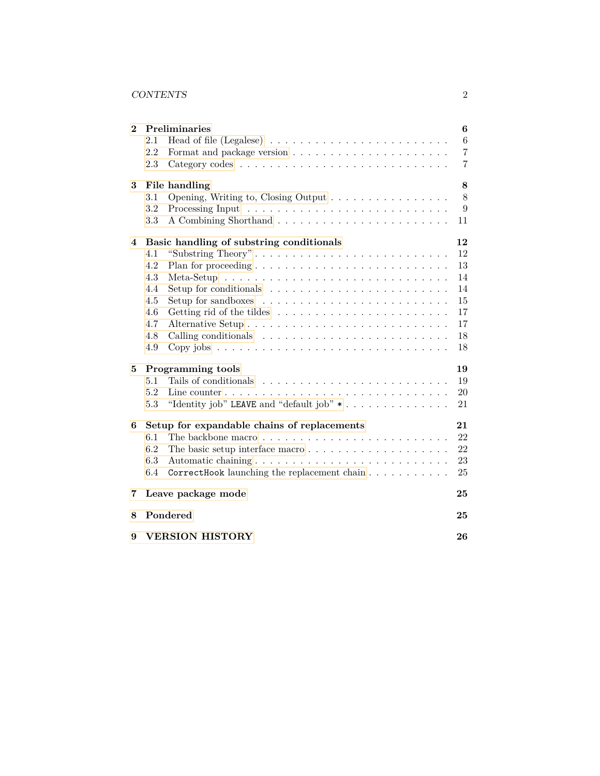### CONTENTS 2

| $\bf{2}$ | <b>Preliminaries</b>                                                                        | 6              |  |
|----------|---------------------------------------------------------------------------------------------|----------------|--|
|          | 2.1                                                                                         | $\,6\,$        |  |
|          | 2.2                                                                                         | 7              |  |
|          | 2.3                                                                                         | $\overline{7}$ |  |
| 3        | File handling                                                                               | 8              |  |
|          | 3.1<br>Opening, Writing to, Closing Output                                                  | 8              |  |
|          | 3.2                                                                                         | 9              |  |
|          | 3.3                                                                                         | 11             |  |
| 4        | Basic handling of substring conditionals                                                    | 12             |  |
|          | "Substring Theory"<br>4.1                                                                   | 12             |  |
|          | 4.2                                                                                         | 13             |  |
|          | 4.3                                                                                         | 14             |  |
|          | 4.4<br>Setup for conditionals $\dots \dots \dots \dots \dots \dots \dots \dots \dots$       | 14             |  |
|          | 4.5<br>Setup for sandboxes $\dots \dots \dots \dots \dots \dots \dots \dots \dots$          | 15             |  |
|          | 4.6                                                                                         | 17             |  |
|          | 4.7                                                                                         | 17             |  |
|          | 4.8                                                                                         | 18             |  |
|          | 4.9                                                                                         | 18             |  |
| 5        | Programming tools                                                                           | 19             |  |
|          | 5.1                                                                                         | 19             |  |
|          | 5.2<br>Line counter $\ldots \ldots \ldots \ldots \ldots \ldots \ldots \ldots \ldots \ldots$ | 20             |  |
|          | "Identity job" LEAVE and "default job" *<br>5.3                                             | 21             |  |
| 6        | Setup for expandable chains of replacements                                                 | 21             |  |
|          | 6.1                                                                                         | 22             |  |
|          | 6.2<br>The basic setup interface macro $\dots \dots \dots \dots \dots \dots \dots$          | 22             |  |
|          | 6.3                                                                                         | 23             |  |
|          | 6.4<br>CorrectHook launching the replacement chain                                          | 25             |  |
| 7        | Leave package mode                                                                          | 25             |  |
| 8        | Pondered                                                                                    | 25             |  |
| 9        | <b>VERSION HISTORY</b><br>26                                                                |                |  |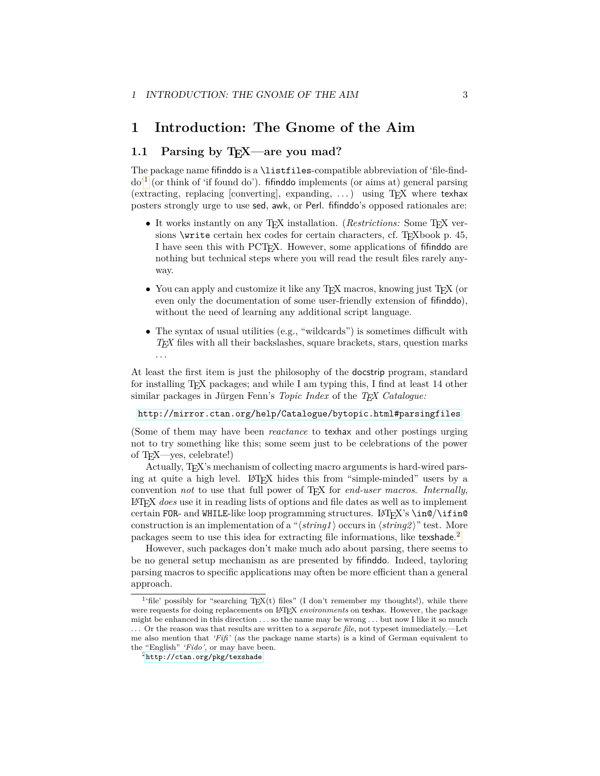### <span id="page-2-0"></span>**1 Introduction: The Gnome of the Aim**

### <span id="page-2-1"></span>**1.1 Parsing by T<sub>E</sub>X—are you mad?**

The package name fifinddo is a \listfiles-compatible abbreviation of 'file-finddo'[1](#page-2-2) (or think of 'if found do'). fifinddo implements (or aims at) general parsing (extracting, replacing [converting], expanding,  $\dots$ ) using T<sub>E</sub>X where texhax posters strongly urge to use sed, awk, or Perl. fifinddo's opposed rationales are:

- It works instantly on any T<sub>F</sub>X installation. (*Restrictions:* Some T<sub>F</sub>X versions  $\text{write certain hex codes}$  for certain characters, cf. T<sub>E</sub>Xbook p. 45, I have seen this with PCTEX. However, some applications of fifinddo are nothing but technical steps where you will read the result files rarely anyway.
- You can apply and customize it like any  $T_F X$  macros, knowing just  $T_F X$  (or even only the documentation of some user-friendly extension of fifinddo), without the need of learning any additional script language.
- The syntax of usual utilities (e.g., "wildcards") is sometimes difficult with *TEX* files with all their backslashes, square brackets, stars, question marks . . .

At least the first item is just the philosophy of the docstrip program, standard for installing TEX packages; and while I am typing this, I find at least 14 other similar packages in Jürgen Fenn's *Topic Index* of the *T<sub>E</sub>X Catalogue:* 

<http://mirror.ctan.org/help/Catalogue/bytopic.html#parsingfiles>

(Some of them may have been *reactance* to texhax and other postings urging not to try something like this; some seem just to be celebrations of the power of TEX—yes, celebrate!)

Actually, TEX's mechanism of collecting macro arguments is hard-wired parsing at quite a high level. LAT<sub>EX</sub> hides this from "simple-minded" users by a convention *not* to use that full power of TEX for *end-user macros*. *Internally*, LATEX *does* use it in reading lists of options and file dates as well as to implement certain FOR- and WHILE-like loop programming structures. LAT<sub>EX</sub>'s \in@/\ifin@ construction is an implementation of a " $\langle string1 \rangle$  occurs in  $\langle string2 \rangle$ " test. More packages seem to use this idea for extracting file informations, like texshade. [2](#page-2-3)

However, such packages don't make much ado about parsing, there seems to be no general setup mechanism as are presented by fifinddo. Indeed, tayloring parsing macros to specific applications may often be more efficient than a general approach.

<span id="page-2-2"></span><sup>&</sup>lt;sup>1</sup>'file' possibly for "searching  $T_{E}X(t)$  files" (I don't remember my thoughts!), while there were requests for doing replacements on LATEX *environments* on texhax. However, the package might be enhanced in this direction *. . .* so the name may be wrong *. . .* but now I like it so much

<sup>. . .</sup> Or the reason was that results are written to a *separate file*, not typeset immediately.—Let me also mention that *'Fifi'* (as the package name starts) is a kind of German equivalent to the "English" *'Fido'*, or may have been.

<span id="page-2-3"></span> $^{2}$ <http://ctan.org/pkg/texshade>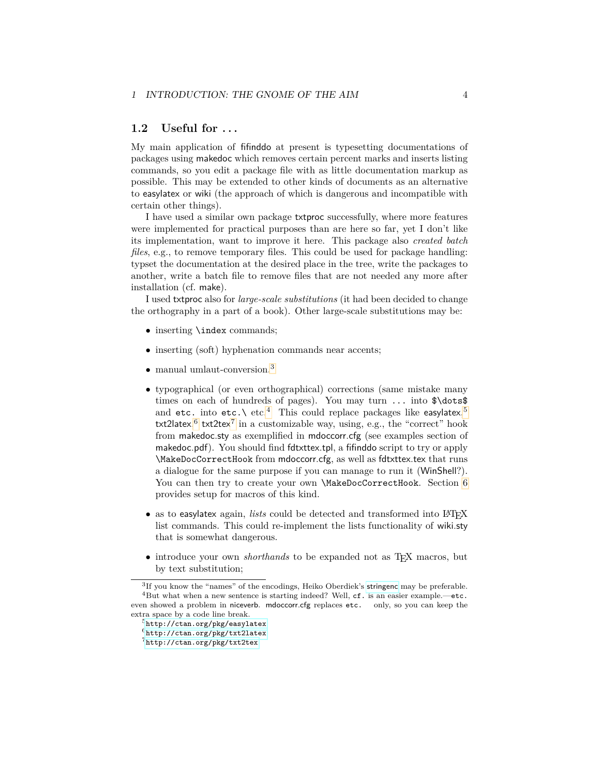#### <span id="page-3-0"></span>**1.2 Useful for . . .**

My main application of fifinddo at present is typesetting documentations of packages using makedoc which removes certain percent marks and inserts listing commands, so you edit a package file with as little documentation markup as possible. This may be extended to other kinds of documents as an alternative to easylatex or wiki (the approach of which is dangerous and incompatible with certain other things).

I have used a similar own package txtproc successfully, where more features were implemented for practical purposes than are here so far, yet I don't like its implementation, want to improve it here. This package also *created batch files*, e.g., to remove temporary files. This could be used for package handling: typset the documentation at the desired place in the tree, write the packages to another, write a batch file to remove files that are not needed any more after installation (cf. make).

I used txtproc also for *large-scale substitutions* (it had been decided to change the orthography in a part of a book). Other large-scale substitutions may be:

- inserting \index commands;
- inserting (soft) hyphenation commands near accents;
- manual umlaut-conversion.<sup>[3](#page-3-1)</sup>
- typographical (or even orthographical) corrections (same mistake many times on each of hundreds of pages). You may turn  $\dots$  into  $\ldots \$ and  $\texttt{etc.}$  into  $\texttt{etc.}\setminus\text{etc.}^4$  $\texttt{etc.}\setminus\text{etc.}^4$  . This could replace packages like  $\texttt{easylatex},^5$  $\texttt{easylatex},^5$ txt2latex, $^6$  $^6$  txt2tex $^7$  $^7$  in a customizable way, using, e.g., the "correct" hook from makedoc.sty as exemplified in mdoccorr.cfg (see examples section of makedoc.pdf). You should find fdtxttex.tpl, a fifinddo script to try or apply \MakeDocCorrectHook from mdoccorr.cfg, as well as fdtxttex.tex that runs a dialogue for the same purpose if you can manage to run it (WinShell?). You can then try to create your own \MakeDocCorrectHook. Section [6](#page-20-1) provides setup for macros of this kind.
- as to easylatex again, *lists* could be detected and transformed into L<sup>AT</sup>FX list commands. This could re-implement the lists functionality of wiki.sty that is somewhat dangerous.
- introduce your own *shorthands* to be expanded not as T<sub>E</sub>X macros, but by text substitution;

<span id="page-3-2"></span><span id="page-3-1"></span><sup>&</sup>lt;sup>3</sup>If you know the "names" of the encodings, Heiko Oberdiek's [stringenc](http://ctan.org/pkg/stringenc) may be preferable.  $4$ But what when a new sentence is starting indeed? Well, cf. is an easier example.—etc. even showed a problem in niceverb. mdoccorr.cfg replaces etc. only, so you can keep the extra space by a code line break.

<span id="page-3-3"></span><sup>5</sup><http://ctan.org/pkg/easylatex>

<span id="page-3-4"></span><sup>6</sup><http://ctan.org/pkg/txt2latex>

<span id="page-3-5"></span><sup>7</sup><http://ctan.org/pkg/txt2tex>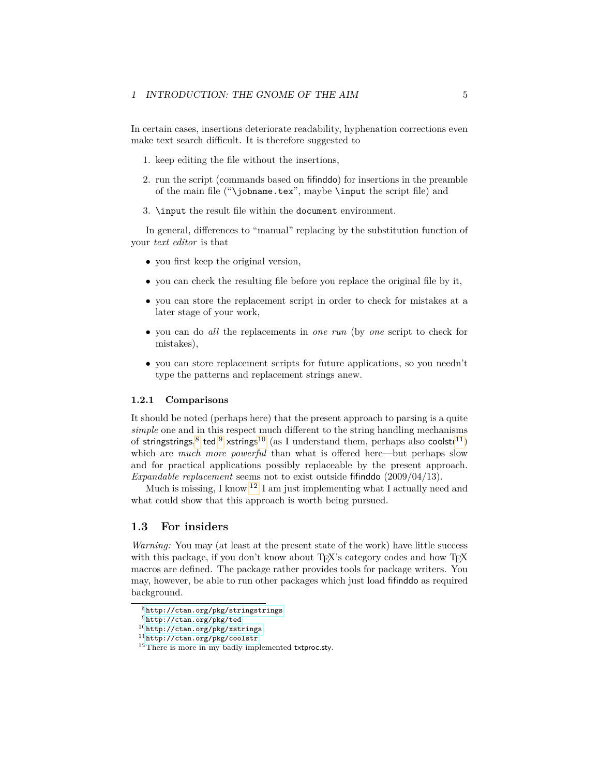In certain cases, insertions deteriorate readability, hyphenation corrections even make text search difficult. It is therefore suggested to

- 1. keep editing the file without the insertions,
- 2. run the script (commands based on fifinddo) for insertions in the preamble of the main file ("\jobname.tex", maybe \input the script file) and
- 3. \input the result file within the document environment.

In general, differences to "manual" replacing by the substitution function of your *text editor* is that

- you first keep the original version,
- you can check the resulting file before you replace the original file by it,
- you can store the replacement script in order to check for mistakes at a later stage of your work,
- you can do *all* the replacements in *one run* (by *one* script to check for mistakes),
- you can store replacement scripts for future applications, so you needn't type the patterns and replacement strings anew.

#### <span id="page-4-0"></span>**1.2.1 Comparisons**

It should be noted (perhaps here) that the present approach to parsing is a quite *simple* one and in this respect much different to the string handling mechanisms of stringstrings,<sup>[8](#page-4-2)</sup> ted,<sup>[9](#page-4-3)</sup> xstrings<sup>[10](#page-4-4)</sup> (as I understand them, perhaps also coolstr<sup>[11](#page-4-5)</sup>) which are *much more powerful* than what is offered here—but perhaps slow and for practical applications possibly replaceable by the present approach. *Expandable replacement* seems not to exist outside fifinddo (2009/04/13).

Much is missing, I know.<sup>[12](#page-4-6)</sup> I am just implementing what I actually need and what could show that this approach is worth being pursued.

#### <span id="page-4-1"></span>**1.3 For insiders**

*Warning:* You may (at least at the present state of the work) have little success with this package, if you don't know about TEX's category codes and how TEX macros are defined. The package rather provides tools for package writers. You may, however, be able to run other packages which just load fifinddo as required background.

<span id="page-4-2"></span> ${}^{8}$ <http://ctan.org/pkg/stringstrings>

<span id="page-4-3"></span> $^{9}$  <http://ctan.org/pkg/ted>

<span id="page-4-4"></span><sup>10</sup><http://ctan.org/pkg/xstrings>

<span id="page-4-5"></span><sup>11</sup><http://ctan.org/pkg/coolstr>

<span id="page-4-6"></span><sup>&</sup>lt;sup>12</sup>There is more in my badly implemented txtproc.sty.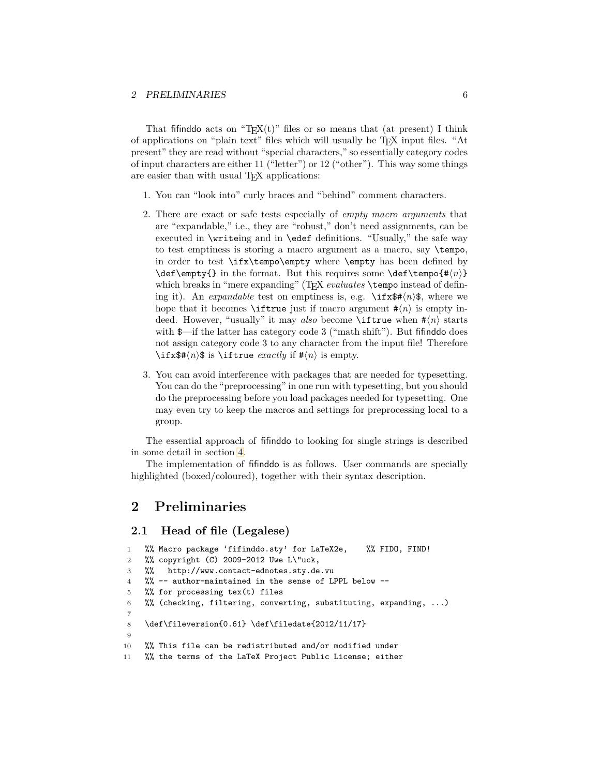That fifind to acts on "T<sub>E</sub>X(t)" files or so means that (at present) I think of applications on "plain text" files which will usually be TEX input files. "At present" they are read without "special characters," so essentially category codes of input characters are either 11 ("letter") or 12 ("other"). This way some things are easier than with usual T<sub>E</sub>X applications:

- 1. You can "look into" curly braces and "behind" comment characters.
- 2. There are exact or safe tests especially of *empty macro arguments* that are "expandable," i.e., they are "robust," don't need assignments, can be executed in \writeing and in \edef definitions. "Usually," the safe way to test emptiness is storing a macro argument as a macro, say \tempo, in order to test \ifx\tempo\empty where \empty has been defined by \def\empty{} in the format. But this requires some \def\tempo{# $\langle n \rangle$ } which breaks in "mere expanding" (TEX *evaluates* \tempo instead of defining it). An *expandable* test on emptiness is, e.g.  $\iint x$   $\mathfrak{F}(n)\$ , where we hope that it becomes **\iftrue** just if macro argument  $\#(n)$  is empty indeed. However, "usually" it may *also* become **\iftrue** when  $\# \langle n \rangle$  starts with  $\frac{1}{\sqrt{2}}$  if the latter has category code 3 ("math shift"). But fifind to does not assign category code 3 to any character from the input file! Therefore \ifx\$# $\langle n \rangle$ \$ is \iftrue *exactly* if # $\langle n \rangle$  is empty.
- 3. You can avoid interference with packages that are needed for typesetting. You can do the "preprocessing" in one run with typesetting, but you should do the preprocessing before you load packages needed for typesetting. One may even try to keep the macros and settings for preprocessing local to a group.

The essential approach of fifinddo to looking for single strings is described in some detail in section [4.](#page-11-0)

The implementation of fifinddo is as follows. User commands are specially highlighted (boxed/coloured), together with their syntax description.

### <span id="page-5-0"></span>**2 Preliminaries**

#### <span id="page-5-1"></span>**2.1 Head of file (Legalese)**

```
1 %% Macro package 'fifinddo.sty' for LaTeX2e, %% FIDO, FIND!
2 %% copyright (C) 2009-2012 Uwe L\"uck,
3 %% http://www.contact-ednotes.sty.de.vu
4 %% -- author-maintained in the sense of LPPL below --
5 %% for processing tex(t) files
6 %% (checking, filtering, converting, substituting, expanding, ...)
7
8 \def\fileversion{0.61} \def\filedate{2012/11/17}
\alpha10 %% This file can be redistributed and/or modified under
11 %% the terms of the LaTeX Project Public License; either
```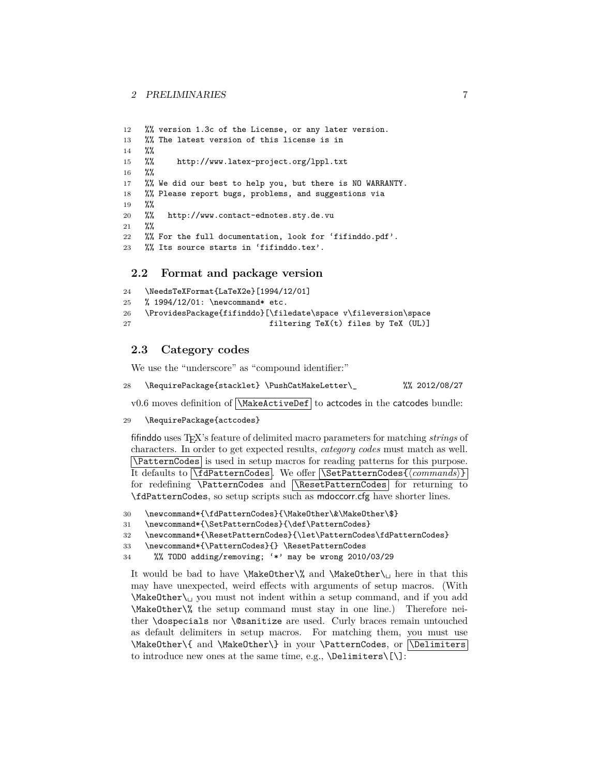#### 2 PRELIMINARIES 7

```
12 %% version 1.3c of the License, or any later version.
13 %% The latest version of this license is in
14 %%
15 %% http://www.latex-project.org/lppl.txt
16 %%
17 %% We did our best to help you, but there is NO WARRANTY.
18 %% Please report bugs, problems, and suggestions via
19 %%
20 %% http://www.contact-ednotes.sty.de.vu
21 %%
22 %% For the full documentation, look for 'fifinddo.pdf'.
23 %% Its source starts in 'fifinddo.tex'.
```
#### <span id="page-6-0"></span>**2.2 Format and package version**

```
24 \NeedsTeXFormat{LaTeX2e}[1994/12/01]
25 % 1994/12/01: \newcommand* etc.
26 \ProvidesPackage{fifinddo}[\filedate\space v\fileversion\space
27 filtering TeX(t) files by TeX (UL)]
```
### <span id="page-6-1"></span>**2.3 Category codes**

We use the "underscore" as "compound identifier:"

28 \RequirePackage{stacklet} \PushCatMakeLetter\\_ %% 2012/08/27

v0.6 moves definition of  $\sqrt{\text{MakeActiveDef}}$  to actcodes in the catcodes bundle:

```
29 \RequirePackage{actcodes}
```
fifinddo uses TEX's feature of delimited macro parameters for matching *strings* of characters. In order to get expected results, *category codes* must match as well. \PatternCodes is used in setup macros for reading patterns for this purpose. It defaults to **\fdPatternCodes**. We offer **\SetPatternCodes{** $\langle \textit{commands}\rangle$ } for redefining **\PatternCodes** and **\ResetPatternCodes** for returning to \fdPatternCodes, so setup scripts such as mdoccorr.cfg have shorter lines.

```
30 \newcommand*{\fdPatternCodes}{\MakeOther\&\MakeOther\$}
```

```
31 \newcommand*{\SetPatternCodes}{\def\PatternCodes}
```

```
32 \newcommand*{\ResetPatternCodes}{\let\PatternCodes\fdPatternCodes}
```

```
33 \newcommand*{\PatternCodes}{} \ResetPatternCodes
```

```
34 %% TODO adding/removing; '*' may be wrong 2010/03/29
```
It would be bad to have \MakeOther\% and \MakeOther\ $\cup$  here in that this may have unexpected, weird effects with arguments of setup macros. (With  $\M$ akeOther $\cup$  you must not indent within a setup command, and if you add \MakeOther\% the setup command must stay in one line.) Therefore neither \dospecials nor \@sanitize are used. Curly braces remain untouched as default delimiters in setup macros. For matching them, you must use  $\MakeOther\{ and \MakeOther\} in your \Pattern Codes, or \Deliniters$ to introduce new ones at the same time, e.g., \Delimiters\[\]: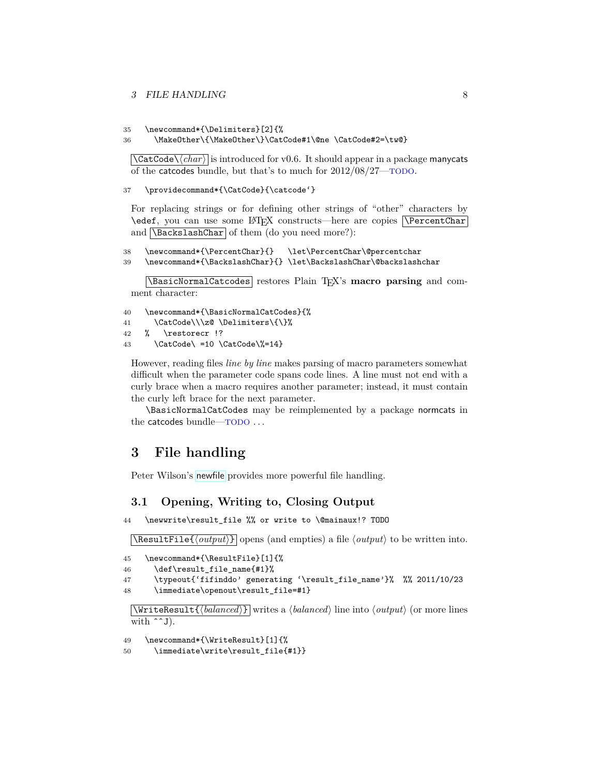#### 3 FILE HANDLING 8

35 \newcommand\*{\Delimiters}[2]{%

```
36 \MakeOther\{\MakeOther\}\CatCode#1\@ne \CatCode#2=\tw@}
```
 $\left[\text{CatCode}\right\rangle \langle char \rangle$  is introduced for v0.6. It should appear in a package manycats of the catcodes bundle, but that's to much for 2012/08/27—TODO.

37 \providecommand\*{\CatCode}{\catcode'}

For replacing strings or for defining other strings of "other" characters by \edef, you can use some LATEX constructs—here are copies VPercentChar and  $\overline{\text{Backslash}}$  of them (do you need more?):

```
38 \newcommand*{\PercentChar}{} \let\PercentChar\@percentchar
```

```
39 \newcommand*{\BackslashChar}{} \let\BackslashChar\@backslashchar
```
\BasicNormalCatcodes restores Plain TEX's **macro parsing** and comment character:

```
40 \newcommand*{\BasicNormalCatCodes}{%
```

```
41 \CatCode\\\z@ \Delimiters\{\}%
```

```
42 % \restorecr !?
```

```
43 \{CatCode\} = 10 \ \CatCode\% = 14\}
```
However, reading files *line by line* makes parsing of macro parameters somewhat difficult when the parameter code spans code lines. A line must not end with a curly brace when a macro requires another parameter; instead, it must contain the curly left brace for the next parameter.

\BasicNormalCatCodes may be reimplemented by a package normcats in the catcodes bundle—TODO . . .

### <span id="page-7-0"></span>**3 File handling**

Peter Wilson's [newfile](http://ctan.org/pkg/newfile) provides more powerful file handling.

#### <span id="page-7-1"></span>**3.1 Opening, Writing to, Closing Output**

```
44 \newwrite\result_file %% or write to \@mainaux!? TODO
```
 $\Re$ esultFile $\{output\}$  opens (and empties) a file  $\langle output \rangle$  to be written into.

```
45 \newcommand*{\ResultFile}[1]{%
46 \def\result_file_name{#1}%
47 \typeout{'fifinddo' generating '\result_file_name'}% %% 2011/10/23
48 \immediate\openout\result_file=#1}
```
 $\overline{\text{WriteResult} \{\text{balanced}\}\}\}$  writes a  $\text{balanced}\$  line into  $\text{output}\$  (or more lines with  $\hat{g}$ .

49 \newcommand\*{\WriteResult}[1]{%

```
50 \immediate\write\result_file{#1}}
```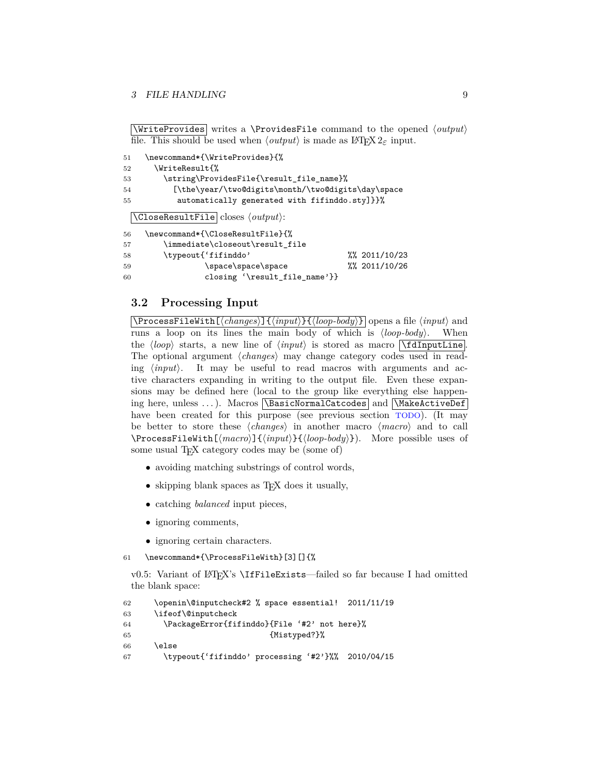#### 3 FILE HANDLING 9

\WriteProvides writes a \ProvidesFile command to the opened  $\langle output \rangle$ file. This should be used when  $\langle output \rangle$  is made as LAT<sub>E</sub>X 2<sub> $\varepsilon$ </sub> input.

```
51 \newcommand*{\WriteProvides}{%
52 \WriteResult{%
53 \string\ProvidesFile{\result_file_name}%
54 [\the\year/\two@digits\month/\two@digits\day\space
55 automatically generated with fifinddo.sty]}}%
 \vert\CloseResultFile closes \langle output \rangle:
56 \newcommand*{\CloseResultFile}{%
57 \immediate\closeout\result_file
58 \typeout{'fifinddo' %% 2011/10/23
59 \space\space\space %% 2011/10/26
60 closing '\result file name'}}
```
#### <span id="page-8-0"></span>**3.2 Processing Input**

 $\overline{\Lambda}$ ProcessFileWith $\overline{\Lambda}$ *(changes)*] $\overline{\{input\}}$ {*loop-body*}} opens a file  $\langle input \rangle$  and runs a loop on its lines the main body of which is  $\langle loop\text{-}body\rangle$ . When the  $\langle loop \rangle$  starts, a new line of  $\langle input \rangle$  is stored as macro  $\lceil \DeltaInputLine \rceil$ . The optional argument  $\langle changes \rangle$  may change category codes used in reading  $\langle input \rangle$ . It may be useful to read macros with arguments and active characters expanding in writing to the output file. Even these expansions may be defined here (local to the group like everything else happening here, unless ...). Macros \BasicNormalCatcodes and \MakeActiveDef have been created for this purpose (see previous section TODO). (It may be better to store these  $\langle changes \rangle$  in another macro  $\langle macro \rangle$  and to call \ProcessFileWith[ $\langle macro \rangle$ ]{ $\langle input \rangle$ }{ $\langle loop-body \rangle$ }). More possible uses of some usual T<sub>E</sub>X category codes may be (some of)

- avoiding matching substrings of control words,
- skipping blank spaces as T<sub>E</sub>X does it usually,
- catching *balanced* input pieces,
- ignoring comments,
- ignoring certain characters.

61 \newcommand\*{\ProcessFileWith}[3][]{%

v0.5: Variant of LATEX's \IfFileExists—failed so far because I had omitted the blank space:

```
62 \openin\@inputcheck#2 % space essential! 2011/11/19
63 \ifeof\@inputcheck
64 \PackageError{fifinddo}{File '#2' not here}%
65 {Mistyped?}%
66 \else
67 \typeout{'fifinddo' processing '#2'}%% 2010/04/15
```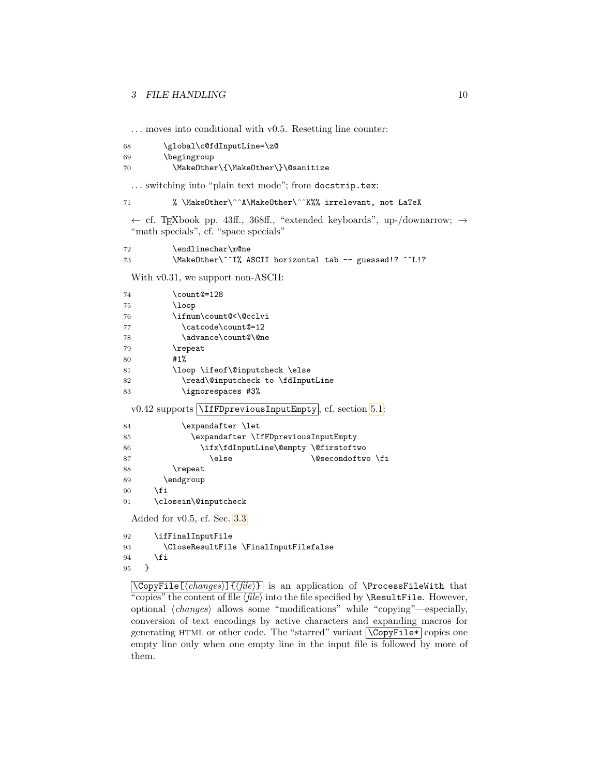. . . moves into conditional with v0.5. Resetting line counter:

```
68 \global\c@fdInputLine=\z@
69 \begingroup
70 \MakeOther\{\MakeOther\}\@sanitize
```
... switching into "plain text mode"; from docstrip.tex:

```
71 % \MakeOther\^^A\MakeOther\^^K%% irrelevant, not LaTeX
```
← cf. TEXbook pp. 43ff., 368ff., "extended keyboards", up-/downarrow; → "math specials", cf. "space specials"

| 72 | \endlinechar\m@ne                                       |  |
|----|---------------------------------------------------------|--|
| 73 | \MakeOther\^^I% ASCII horizontal tab -- guessed!? ^^L!? |  |

With v0.31, we support non-ASCII:

| 74 | \count@=128                                                                |
|----|----------------------------------------------------------------------------|
| 75 | $\log$                                                                     |
| 76 | \ifnum\count@<\@cclvi                                                      |
| 77 | \catcode\count@=12                                                         |
| 78 | \advance\count@\@ne                                                        |
| 79 | \repeat                                                                    |
| 80 | #1%                                                                        |
| 81 | \loop \ifeof\@inputcheck \else                                             |
| 82 | \read\@inputcheck to \fdInputLine                                          |
| 83 | \ignorespaces #3%                                                          |
|    | $v0.42$ supports <i>\liffDpreviousInputEmpty</i> , <i>cf.</i> section 5.1: |
| 84 | \expandafter \let                                                          |
| 85 | \expandafter \IfFDpreviousInputEmpty                                       |
| 86 | \ifx\fdInputLine\@empty \@firstoftwo                                       |
| 87 | \else<br>\@secondoftwo \fi                                                 |
| 88 | \repeat                                                                    |
| 89 | \endgroup                                                                  |
| 90 | \fi                                                                        |
| 91 | \closein\@inputcheck                                                       |
|    | Added for $v0.5$ , cf. Sec. 3.3                                            |
| 92 | \ifFinalInputFile                                                          |
| 93 | \CloseResultFile \FinalInputFilefalse                                      |
| 94 | \fi                                                                        |
| 95 | }                                                                          |

\CopyFile[\*changes*}]{\file}} is an application of \ProcessFileWith that "copies" the content of file  $\langle file \rangle$  into the file specified by **\ResultFile.** However, optional  $\langle changes\rangle$  allows some "modifications" while "copying"—especially, conversion of text encodings by active characters and expanding macros for generating HTML or other code. The "starred" variant  $\sqrt{CopyFile*}$  copies one empty line only when one empty line in the input file is followed by more of them.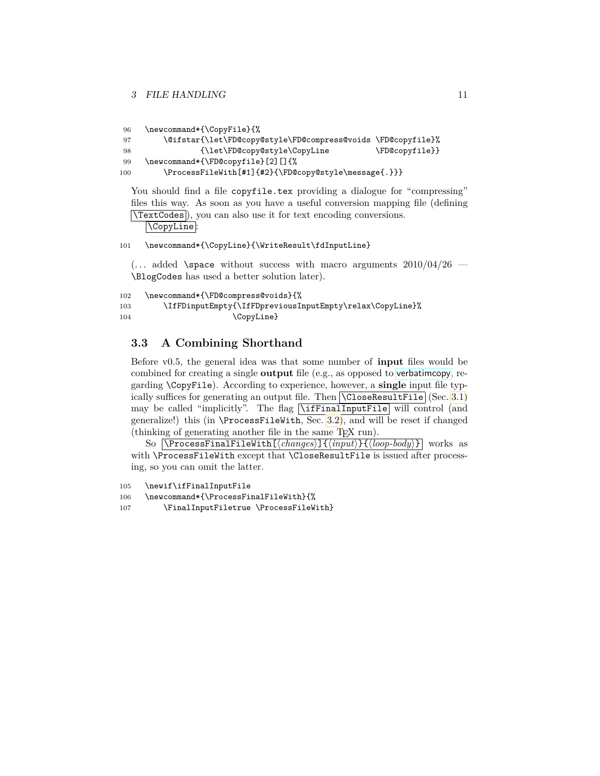```
96 \newcommand*{\CopyFile}{%
97 \@ifstar{\let\FD@copy@style\FD@compress@voids \FD@copyfile}%
98 {\left\{\left\{FD@copy@style\right\}CopyLine} \FD@copyfile}}
99 \newcommand*{\FD@copyfile}[2][]{%
100 \ProcessFileWith[#1]{#2}{\FD@copy@style\message{.}}}
```
You should find a file copyfile.tex providing a dialogue for "compressing" files this way. As soon as you have a useful conversion mapping file (defining \TextCodes ), you can also use it for text encoding conversions.  $|\texttt{\texttt{{\char'130}}}}$ 

#### 101 \newcommand\*{\CopyLine}{\WriteResult\fdInputLine}

 $\ldots$  added \space without success with macro arguments  $2010/04/26$  — \BlogCodes has used a better solution later).

```
102 \newcommand*{\FD@compress@voids}{%
103 \IfFDinputEmpty{\IfFDpreviousInputEmpty\relax\CopyLine}%
104 \CopyLine}
```
#### <span id="page-10-0"></span>**3.3 A Combining Shorthand**

Before v0.5, the general idea was that some number of **input** files would be combined for creating a single **output** file (e.g., as opposed to [verbatimcopy](http://ctan.org/pkg/verbatimcopy), regarding \CopyFile). According to experience, however, a **single** input file typically suffices for generating an output file. Then  $\boxed{\text{CloseResultFile}}$  (Sec. [3.1\)](#page-7-1) may be called "implicitly". The flag \ifFinalInputFile will control (and generalize!) this (in \ProcessFileWith, Sec. [3.2\)](#page-8-0), and will be reset if changed (thinking of generating another file in the same TEX run).

So  $\overline{\Ypsilon}$  \ProcessFinalFileWith  $\overline{\{changes\}}$  { $\overline{\{input\}}$ }  $\overline{\{loop-body\}}$  works as with \ProcessFileWith except that \CloseResultFile is issued after processing, so you can omit the latter.

```
105 \newif\ifFinalInputFile
```
106 \newcommand\*{\ProcessFinalFileWith}{%

107 \FinalInputFiletrue \ProcessFileWith}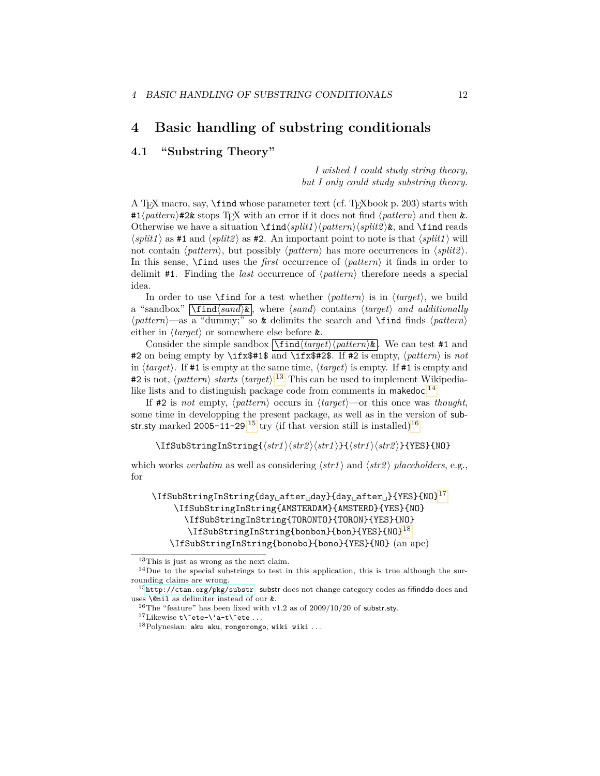### <span id="page-11-0"></span>**4 Basic handling of substring conditionals**

#### <span id="page-11-1"></span>**4.1 "Substring Theory"**

*I wished I could study string theory, but I only could study substring theory.*

A T<sub>F</sub>X macro, say,  $\frac{\text{find whose parameter text}}{\text{cff}}$ . T<sub>F</sub>Xbook p. 203) starts with  $#1\langle pattern \rangle$ #2& stops T<sub>E</sub>X with an error if it does not find  $\langle pattern \rangle$  and then &. Otherwise we have a situation  $\frac{\frac{\phi}{\phi}}{\phi}$ .  $\langle split1 \rangle$  as #1 and  $\langle split2 \rangle$  as #2. An important point to note is that  $\langle split1 \rangle$  will not contain  $\langle pattern \rangle$ , but possibly  $\langle pattern \rangle$  has more occurrences in  $\langle split2 \rangle$ . In this sense,  $\theta$  ind uses the *first* occurrence of  $\phi$ *attern*) it finds in order to delimit #1. Finding the *last* occurrence of  $\langle pattern \rangle$  therefore needs a special idea.

In order to use  $\mathcal{I}$  ind for a test whether  $\langle pattern \rangle$  is in  $\langle target \rangle$ , we build a "sandbox"  $\boxed{\text{find}(sand)\⊂>, where (sand) contains (target) and additionally}$  $\phi \$ iatern<sup> $\rangle$ </sup>—as a "dummy;" so **&** delimits the search and **\find** finds  $\phi$ *lettern*) either in  $\langle target \rangle$  or somewhere else before **&**.

Consider the simple sandbox  $\boxed{\frac{\tau_{\text{ind}}\text{target}}{pattern \&} }$ . We can test #1 and #2 on being empty by \ifx\$#1\$ and \ifx\$#2\$. If #2 is empty,  $\langle pattern \rangle$  is *not* in  $\langle target \rangle$ . If #1 is empty at the same time,  $\langle target \rangle$  is empty. If #1 is empty and #2 is not,  $\langle pattern \rangle$  *starts*  $\langle target \rangle$ <sup>[13](#page-11-2)</sup> This can be used to implement Wikipedia-like lists and to distinguish package code from comments in makedoc.<sup>[14](#page-11-3)</sup>

If  $\#2$  is *not* empty,  $\langle pattern \rangle$  occurs in  $\langle target \rangle$ —or this once was *thought*, some time in developping the present package, as well as in the version of sub-str.sty marked 2005-11-29,<sup>[15](#page-11-4)</sup> try (if that version still is installed)<sup>[16](#page-11-5)</sup>

 $\langle \frac{str1}{str2} \rangle \langle \frac{str1}{str2} \rangle \langle \frac{str1}{str2} \rangle$  if  $\langle \frac{str2}{str2} \rangle$  {YES}{NO}

which works *verbatim* as well as considering  $\langle str1 \rangle$  and  $\langle str2 \rangle$  *placeholders*, e.g., for

\IfSubStringInString{day<sub>il</sub>after<sub>il</sub>day}{day<sub>il</sub>after<sub>il</sub>}{YES}{NO}<sup>[17](#page-11-6)</sup> \IfSubStringInString{AMSTERDAM}{AMSTERD}{YES}{NO} \IfSubStringInString{TORONTO}{TORON}{YES}{NO} \IfSubStringInString{bonbon}{bon}{YES}{NO}[18](#page-11-7) \IfSubStringInString{bonobo}{bono}{YES}{NO} (an ape)

<span id="page-11-3"></span><span id="page-11-2"></span><sup>13</sup>This is just as wrong as the next claim.

<sup>&</sup>lt;sup>14</sup>Due to the special substrings to test in this application, this is true although the surrounding claims are wrong.

<span id="page-11-4"></span> $15$ <http://ctan.org/pkg/substr>. substr does not change category codes as fifinddo does and uses \@nil as delimiter instead of our &.

<span id="page-11-5"></span><sup>&</sup>lt;sup>16</sup>The "feature" has been fixed with v1.2 as of  $2009/10/20$  of substr.sty.

<span id="page-11-6"></span> $17$ Likewise t\^ete-\'a-t\^ete...

<span id="page-11-7"></span> $18P$ olynesian: aku aku, rongorongo, wiki wiki ...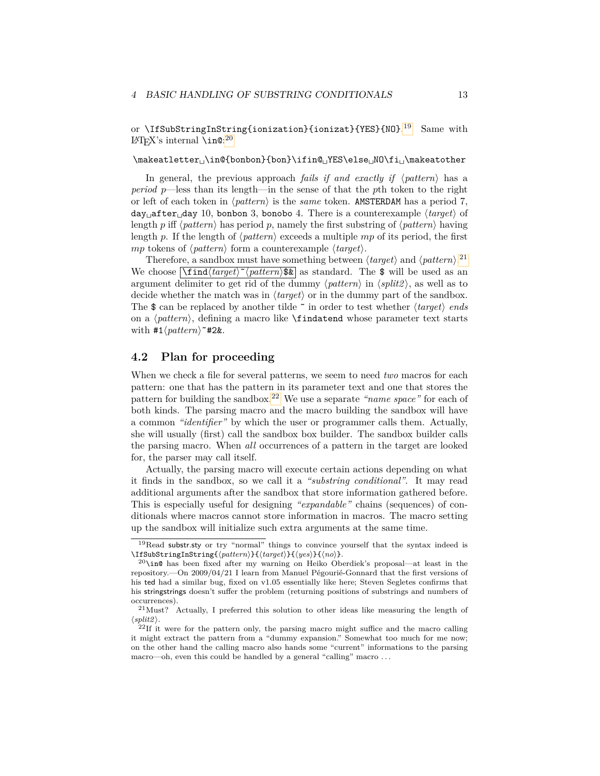or \IfSubStringInString{ionization}{ionizat}{YES}{NO}.<sup>[19](#page-12-1)</sup> Same with  $\LaTeX's internal \infty^{20}$  $\LaTeX's internal \infty^{20}$  $\LaTeX's internal \infty^{20}$ 

\makeatletter␣\in@{bonbon}{bon}\ifin@␣YES\else␣NO\fi␣\makeatother

In general, the previous approach *fails if and exactly if*  $\langle pattern \rangle$  has a *period p*—less than its length—in the sense of that the *p*th token to the right or left of each token in  $\langle pattern \rangle$  is the *same* token. AMSTERDAM has a period 7, day<sub> $\Box$ </sub>after $\Box$ day 10, bonbon 3, bonobo 4. There is a counterexample  $\langle target \rangle$  of length *p* iff  $\langle pattern \rangle$  has period *p*, namely the first substring of  $\langle pattern \rangle$  having length *p*. If the length of  $\langle pattern \rangle$  exceeds a multiple *mp* of its period, the first *mp* tokens of  $\langle pattern \rangle$  form a counterexample  $\langle target \rangle$ .

Therefore, a sandbox must have something between  $\langle target \rangle$  and  $\langle pattern \rangle$ .<sup>[21](#page-12-3)</sup> We choose  $\left[\frac{\mathsf{Find}\langle \mathit{target}\rangle^{\sim} \langle \mathit{pattern}\rangle \mathsf{S} \mathbf{k} \right]$  as standard. The \$ will be used as an argument delimiter to get rid of the dummy  $\langle pattern \rangle$  in  $\langle split \rangle$ , as well as to decide whether the match was in  $\langle target \rangle$  or in the dummy part of the sandbox. The  $\$  can be replaced by another tilde  $\tilde{\ }$  in order to test whether  $\langle target \rangle$  *ends* on a  $\phi$ , defining a macro like **\findatend** whose parameter text starts with  $\#1\langle pattern \rangle^* \#2\&$ .

#### <span id="page-12-0"></span>**4.2 Plan for proceeding**

When we check a file for several patterns, we seem to need *two* macros for each pattern: one that has the pattern in its parameter text and one that stores the pattern for building the sandbox.[22](#page-12-4) We use a separate *"name space"* for each of both kinds. The parsing macro and the macro building the sandbox will have a common *"identifier"* by which the user or programmer calls them. Actually, she will usually (first) call the sandbox box builder. The sandbox builder calls the parsing macro. When *all* occurrences of a pattern in the target are looked for, the parser may call itself.

Actually, the parsing macro will execute certain actions depending on what it finds in the sandbox, so we call it a *"substring conditional"*. It may read additional arguments after the sandbox that store information gathered before. This is especially useful for designing *"expandable"* chains (sequences) of conditionals where macros cannot store information in macros. The macro setting up the sandbox will initialize such extra arguments at the same time.

<span id="page-12-1"></span> $19$ Read substr.sty or try "normal" things to convince yourself that the syntax indeed is \IfSubStringInString{(pattern)}{(target)}{(yes)}{(no)}.

<span id="page-12-2"></span> $^{20}$ \in@ has been fixed after my warning on Heiko Oberdiek's proposal—at least in the repository.—On 2009/04/21 I learn from Manuel Pégourié-Gonnard that the first versions of his ted had a similar bug, fixed on v1.05 essentially like here; Steven Segletes confirms that his stringstrings doesn't suffer the problem (returning positions of substrings and numbers of occurrences).

<span id="page-12-3"></span> $21$ Must? Actually, I preferred this solution to other ideas like measuring the length of  $\langle split2 \rangle$ .

<span id="page-12-4"></span> $^{22}$ If it were for the pattern only, the parsing macro might suffice and the macro calling it might extract the pattern from a "dummy expansion." Somewhat too much for me now; on the other hand the calling macro also hands some "current" informations to the parsing macro—oh, even this could be handled by a general "calling" macro . . .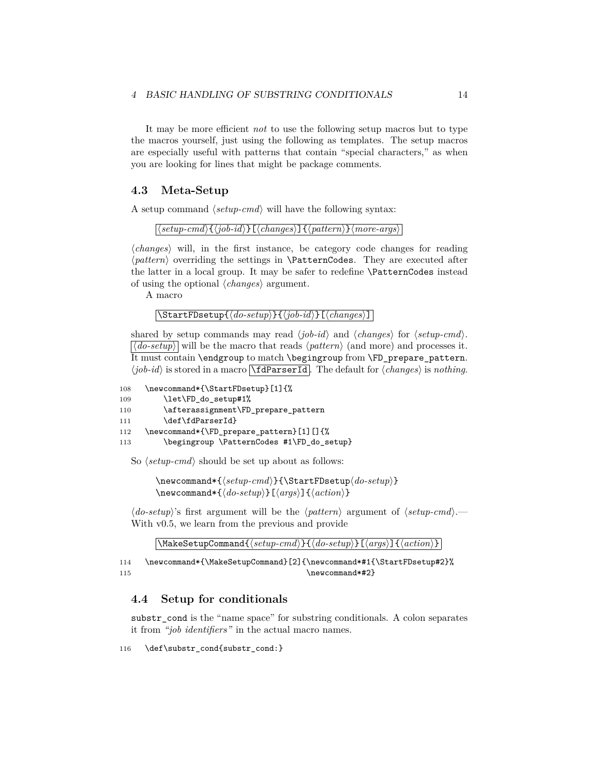It may be more efficient *not* to use the following setup macros but to type the macros yourself, just using the following as templates. The setup macros are especially useful with patterns that contain "special characters," as when you are looking for lines that might be package comments.

#### <span id="page-13-0"></span>**4.3 Meta-Setup**

A setup command  $\langle setup\text{-}cmd \rangle$  will have the following syntax:

 $\langle \langle setup-cmd \rangle \{\langle job-id \rangle\}[\langle changes \rangle] \{\langle pattern \rangle\} \langle more-args \rangle$ 

 $\langle changes\rangle$  will, in the first instance, be category code changes for reading  $\langle pattern \rangle$  overriding the settings in **\PatternCodes**. They are executed after the latter in a local group. It may be safer to redefine \PatternCodes instead of using the optional  $\langle changes\rangle$  argument.

A macro

```
\langleStartFDsetup\{\langledo-setup\rangle}\{\langlejob-id\rangle}[\langlechanges\rangle]
```
shared by setup commands may read  $\langle job-id \rangle$  and  $\langle changes \rangle$  for  $\langle setup-cmd \rangle$ .  $|\langle do\text{-}setup \rangle|$  will be the macro that reads  $\langle pattern \rangle$  (and more) and processes it. It must contain \endgroup to match \begingroup from \FD\_prepare\_pattern.  $\langle job-id \rangle$  is stored in a macro  $\Lambda$ **dParserId**. The default for  $\langle changes \rangle$  is *nothing*.

```
108 \newcommand*{\StartFDsetup}[1]{%
109 \let\FD_do_setup#1%
110 \afterassignment\FD_prepare_pattern
111 \def\fdParserId}
112 \newcommand*{\FD_prepare_pattern}[1][]{%
113 \begingroup \PatternCodes #1\FD_do_setup}
```
So  $\langle setup\text{-}cmd \rangle$  should be set up about as follows:

 $\newcommand*{\(set{setup-cmd}{\StartFDsetup*do-setup*}}$  $\newcommand{*}{\doteq}\{abla*{a}{\ldots}$ 

 $\langle$  do-setup<sup>i</sup>'s first argument will be the  $\langle$  pattern**i** argument of  $\langle$  setup-cmd<sup>}</sup>.— With v0.5, we learn from the previous and provide

 $\langle$ MakeSetupCommand $\{\langle setup\text{-}cmd\rangle\}\{\langle do\text{-}setup\rangle\}\text{[}\langle args\rangle\text{]}$ 

114 \newcommand\*{\MakeSetupCommand}[2]{\newcommand\*#1{\StartFDsetup#2}% 115 \newcommand\*#2}

#### <span id="page-13-1"></span>**4.4 Setup for conditionals**

substr cond is the "name space" for substring conditionals. A colon separates it from *"job identifiers"* in the actual macro names.

116 \def\substr\_cond{substr\_cond:}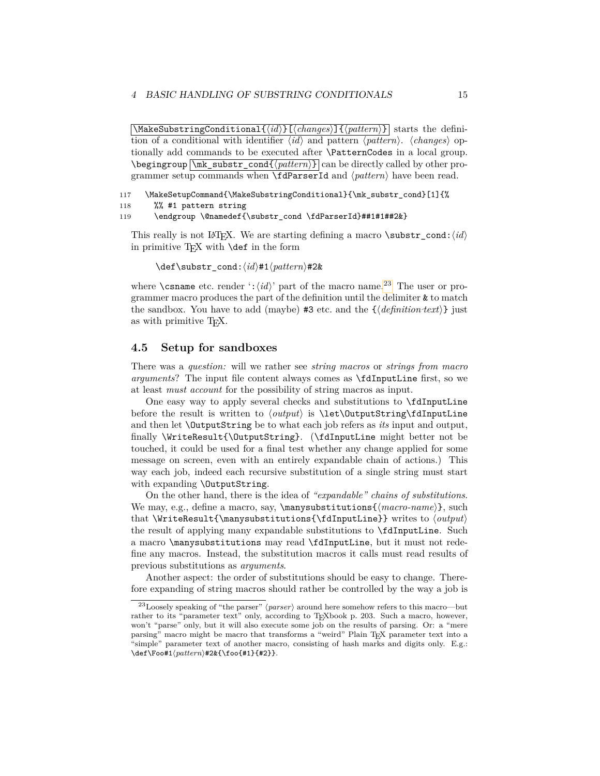$\left[\text{MakesubstringConditional}\right]\left\{ \frac{\langle \mathit{id} \rangle}{\langle \mathit{changes} \rangle}\right]\left\{ \frac{\langle \mathit{pattern} \rangle}{\langle \mathit{patterns} \rangle}\right\}$  starts the definition of a conditional with identifier  $\langle id \rangle$  and pattern  $\langle pattern \rangle$ .  $\langle changes \rangle$  optionally add commands to be executed after \PatternCodes in a local group.  $\begin{bmatrix} \mbox{m} & \mbox{substr\_cond} \{pattern\} \end{bmatrix}$  can be directly called by other programmer setup commands when  $\fdParserId$  and  $\langle pattern \rangle$  have been read.

117 \MakeSetupCommand{\MakeSubstringConditional}{\mk\_substr\_cond}[1]{%

```
118 %% #1 pattern string
```
119 \endgroup \@namedef{\substr\_cond \fdParserId}##1#1##2&}

This really is not L<sup>AT</sup>EX. We are starting defining a macro **\substr** cond: $\langle id \rangle$ in primitive  $T_F X$  with  $\det$  in the form

\def\substr\_cond: $\langle id \rangle$ #1 $\langle pattern \rangle$ #2&

where  $\cosh$  etc. render  $':\langle id \rangle'$  part of the macro name.<sup>[23](#page-14-1)</sup> The user or programmer macro produces the part of the definition until the delimiter & to match the sandbox. You have to add (maybe)  $#3$  etc. and the  $\{\langle definition \text{ }text \{ }t\text{ }s\text{ }t\rangle\}$  just as with primitive TEX.

#### <span id="page-14-0"></span>**4.5 Setup for sandboxes**

There was a *question:* will we rather see *string macros* or *strings from macro arguments*? The input file content always comes as \fdInputLine first, so we at least *must account* for the possibility of string macros as input.

One easy way to apply several checks and substitutions to \fdInputLine before the result is written to  $\langle output \rangle$  is  $\let\OutputString\fdInputLine$ and then let \OutputString be to what each job refers as *its* input and output, finally \WriteResult{\OutputString}. (\fdInputLine might better not be touched, it could be used for a final test whether any change applied for some message on screen, even with an entirely expandable chain of actions.) This way each job, indeed each recursive substitution of a single string must start with expanding \OutputString.

On the other hand, there is the idea of *"expandable" chains of substitutions*. We may, e.g., define a macro, say,  $\max\{ \text{max-name} \}, \text{such}$ that \WriteResult{\manysubstitutions{\fdInputLine}} writes to  $\langle$ the result of applying many expandable substitutions to \fdInputLine. Such a macro \manysubstitutions may read \fdInputLine, but it must not redefine any macros. Instead, the substitution macros it calls must read results of previous substitutions as *arguments*.

Another aspect: the order of substitutions should be easy to change. Therefore expanding of string macros should rather be controlled by the way a job is

<span id="page-14-1"></span> $^{23}$ Loosely speaking of "the parser" (*parser*) around here somehow refers to this macro—but rather to its "parameter text" only, according to TEXbook p. 203. Such a macro, however, won't "parse" only, but it will also execute some job on the results of parsing. Or: a "mere parsing" macro might be macro that transforms a "weird" Plain T<sub>EX</sub> parameter text into a "simple" parameter text of another macro, consisting of hash marks and digits only. E.g.:  $\det\sqrt{pattern}$ #2&{\foo{#1}{#2}}.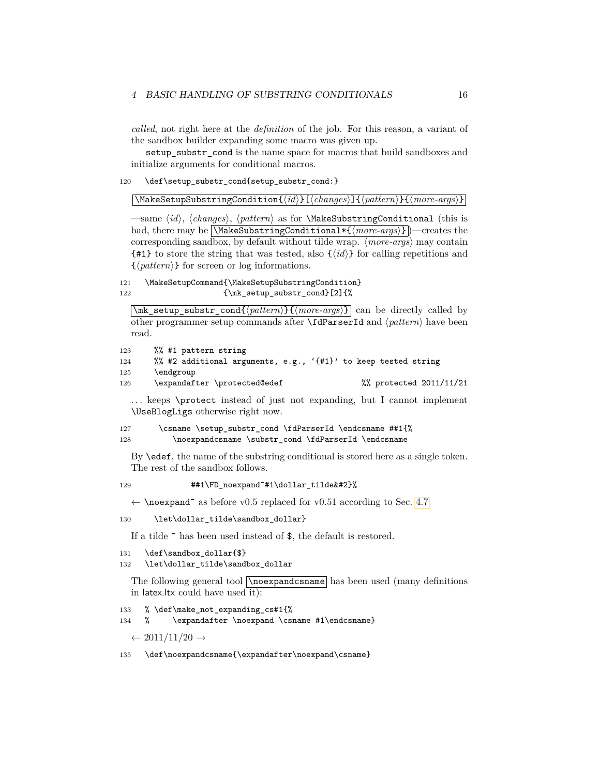*called*, not right here at the *definition* of the job. For this reason, a variant of the sandbox builder expanding some macro was given up.

setup\_substr\_cond is the name space for macros that build sandboxes and initialize arguments for conditional macros.

120 \def\setup\_substr\_cond{setup\_substr\_cond:}

 $\overline{\mathrm{Makes}$ etupSubstringCondition $\{ \langle id \rangle\}$ [ $\langle changes \rangle$ ] $\{ \langle pattern \rangle\}$  $\{ \langle more-args \rangle\}$ 

—same  $\langle id \rangle$ ,  $\langle changes \rangle$ ,  $\langle patterns \rangle$  as for **\MakeSubstringConditional** (this is bad, there may be NakeSubstringConditional\*{ $\langle more-args\rangle$ }  $]$ —creates the corresponding sandbox, by default without tilde wrap.  $\langle more-args\rangle$  may contain  ${\{\text{\#1}\}}$  to store the string that was tested, also  ${\{\langle id \rangle\}}$  for calling repetitions and  $\{\langle pattern \rangle\}$  for screen or log informations.

121 \MakeSetupCommand{\MakeSetupSubstringCondition} 122 {\mk\_setup\_substr\_cond}[2]{%

\mk setup\_substr\_cond{ $\langle pattern \rangle$ }{ $\langle more-args \rangle$ } can be directly called by other programmer setup commands after **\fdParserId** and  $\langle pattern \rangle$  have been read.

123 %% #1 pattern string

```
124 %% #2 additional arguments, e.g., '{#1}' to keep tested string
```

```
125 \endgroup
```

```
126 \expandafter \protected@edef %% protected 2011/11/21
```
... keeps \protect instead of just not expanding, but I cannot implement \UseBlogLigs otherwise right now.

127 \csname \setup\_substr\_cond \fdParserId \endcsname ##1{% 128 \noexpandcsname \substr\_cond \fdParserId \endcsname

By \edef, the name of the substring conditional is stored here as a single token. The rest of the sandbox follows.

129 **##1\FD\_noexpand~#1\dollar\_tilde&#2}%** 

 $\leftarrow$  \noexpand<sup>\*</sup> as before v0.5 replaced for v0.51 according to Sec. [4.7.](#page-16-1)

130 \let\dollar\_tilde\sandbox\_dollar}

If a tilde ˜ has been used instead of \$, the default is restored.

```
131 \def\sandbox dollar{$}
```

```
132 \let\dollar_tilde\sandbox_dollar
```
The following general tool  $\nabla$ **noexpandcsname** has been used (many definitions in latex.ltx could have used it):

```
133 % \def\make_not_expanding_cs#1{%
```
134 % \expandafter \noexpand \csname #1\endcsname}

 $\leftarrow 2011/11/20 \rightarrow$ 

135 \def\noexpandcsname{\expandafter\noexpand\csname}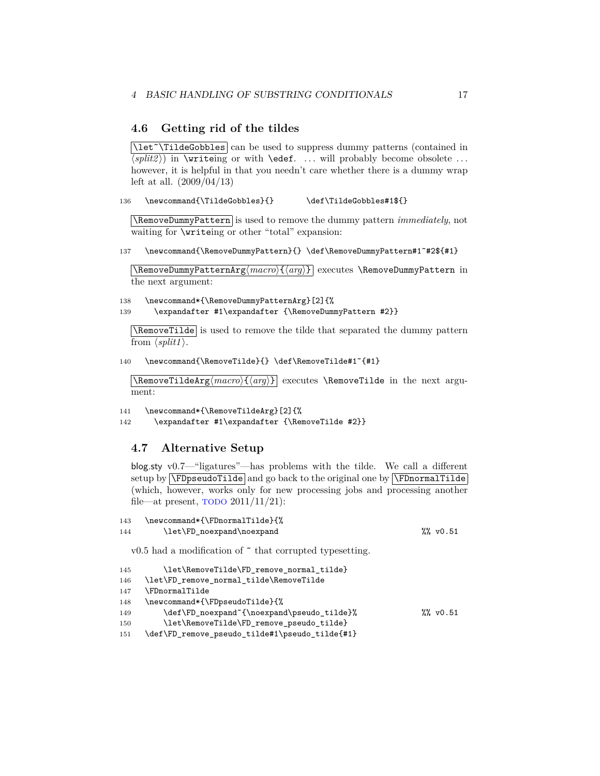#### <span id="page-16-0"></span>**4.6 Getting rid of the tildes**

 $\left[ \Delta E^* \right]$ TildeGobbles can be used to suppress dummy patterns (contained in  $\langle \overline{\langle split2 \rangle} \rangle$  in \writeing or with \edef. ... will probably become obsolete ... however, it is helpful in that you needn't care whether there is a dummy wrap left at all. (2009/04/13)

136 \newcommand{\TildeGobbles}{} \def\TildeGobbles#1\${}

\RemoveDummyPattern is used to remove the dummy pattern *immediately*, not waiting for \writeing or other "total" expansion:

137 \newcommand{\RemoveDummyPattern}{} \def\RemoveDummyPattern#1<sup>~</sup>#2\${#1}

\RemoveDummyPatternArg $\langle macro\rangle{\langle arg\rangle}$  executes \RemoveDummyPattern in the next argument:

138 \newcommand\*{\RemoveDummyPatternArg}[2]{% 139 \expandafter #1\expandafter {\RemoveDummyPattern #2}}

\RemoveTilde is used to remove the tilde that separated the dummy pattern from  $\langle split1 \rangle$ .

140 \newcommand{\RemoveTilde}{} \def\RemoveTilde#1˜{#1}

 $\Re$ Phargharg $\langle macro\rangle$ { $\langle arg\rangle$ } executes  $\Re$ **executes** in the next argument:

```
141 \newcommand*{\RemoveTildeArg}[2]{%
```
142 \expandafter #1\expandafter {\RemoveTilde #2}}

#### <span id="page-16-1"></span>**4.7 Alternative Setup**

blog.sty v0.7—"ligatures"—has problems with the tilde. We call a different setup by  $\Gamma$ ilde and go back to the original one by  $\Gamma$ ilde (which, however, works only for new processing jobs and processing another file—at present,  $\overline{TODO} 2011/11/21$ :

```
143 \newcommand*{\FDnormalTilde}{%
144 \let\FD_noexpand\noexpand $%, v0.51
  v0.5 had a modification of \tilde{\ } that corrupted typesetting.
```

```
145 \let\RemoveTilde\FD_remove_normal_tilde}
146 \let\FD_remove_normal_tilde\RemoveTilde
147 \FDnormalTilde
148 \newcommand*{\FDpseudoTilde}{%
149 \def\FD_noexpand~{\noexpand\pseudo_tilde}% % \% w0.51
150 \let\RemoveTilde\FD_remove_pseudo_tilde}
151 \def\FD_remove_pseudo_tilde#1\pseudo_tilde{#1}
```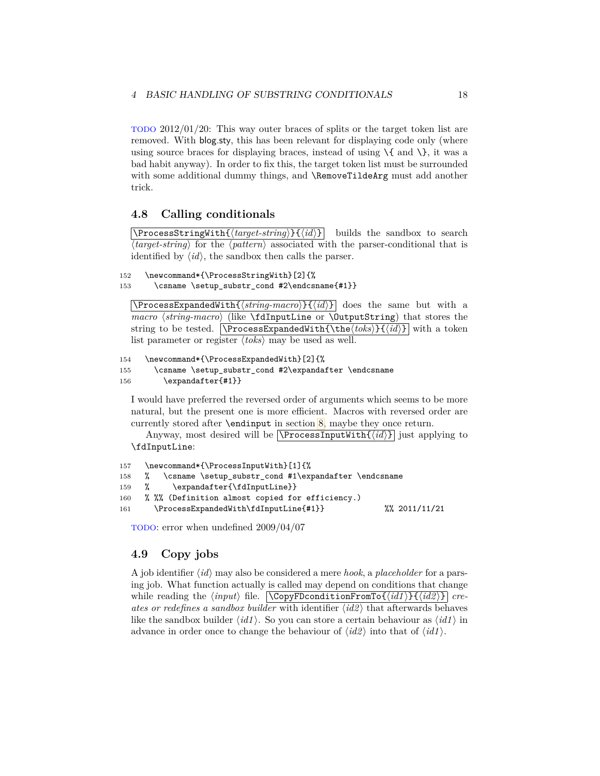TODO 2012/01/20: This way outer braces of splits or the target token list are removed. With blog.sty, this has been relevant for displaying code only (where using source braces for displaying braces, instead of using  $\setminus \{$  and  $\setminus \}$ , it was a bad habit anyway). In order to fix this, the target token list must be surrounded with some additional dummy things, and **\RemoveTildeArg** must add another trick.

#### <span id="page-17-0"></span>**4.8 Calling conditionals**

 $\overline{\text{PrecessStringWith}\{\text{target-string}\}\{\text{id}\}\}\$  builds the sandbox to search  $\langle target\text{-}string \rangle$  for the  $\langle pattern \rangle$  associated with the parser-conditional that is identified by  $\langle id \rangle$ , the sandbox then calls the parser.

```
152 \newcommand*{\ProcessStringWith}[2]{%
```

```
153 \csname \setup_substr_cond #2\endcsname{#1}}
```
 $\Pr{\langle string\text{-}macro}\{\langle id \rangle\}$  does the same but with a *macro*  $\langle string\text{-}macro \rangle$  (like \fdInputLine or \OutputString) that stores the string to be tested.  $\Gamma\left\{\theta\right\}$  with a token list parameter or register  $\langle \text{toks} \rangle$  may be used as well.

```
154 \newcommand*{\ProcessExpandedWith}[2]{%
```

```
155 \csname \setup_substr_cond #2\expandafter \endcsname
156 \expandafter{#1}}
```
I would have preferred the reversed order of arguments which seems to be more natural, but the present one is more efficient. Macros with reversed order are currently stored after \endinput in section [8,](#page-24-2) maybe they once return.

Anyway, most desired will be  $\overline{\P$ rocessInputWith $\{\langle id \rangle\}$  just applying to \fdInputLine:

```
157 \newcommand*{\ProcessInputWith}[1]{%
158 % \csname \setup_substr_cond #1\expandafter \endcsname
159 % \expandafter{\fdInputLine}}
160 % %% (Definition almost copied for efficiency.)
161 \ProcessExpandedWith\fdInputLine{#1}} %% 2011/11/21
```
TODO: error when undefined 2009/04/07

#### <span id="page-17-1"></span>**4.9 Copy jobs**

A job identifier  $\langle id \rangle$  may also be considered a mere *hook*, a *placeholder* for a parsing job. What function actually is called may depend on conditions that change while reading the  $\langle input \rangle$  file.  $\langle \text{CopyFDconditionFromTo} \{ \langle \text{id1} \rangle \} \{ \langle \text{id2} \rangle \} \vert$  *creates or redefines a sandbox builder* with identifier  $\langle id2 \rangle$  that afterwards behaves like the sandbox builder  $\langle id1 \rangle$ . So you can store a certain behaviour as  $\langle id1 \rangle$  in advance in order once to change the behaviour of  $\langle id2 \rangle$  into that of  $\langle id1 \rangle$ .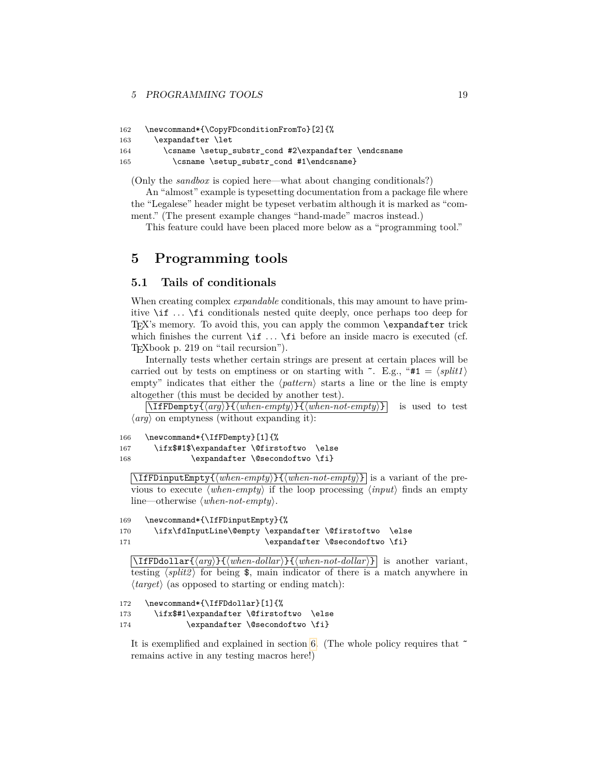#### 5 PROGRAMMING TOOLS 19

```
162 \newcommand*{\CopyFDconditionFromTo}[2]{%
163 \expandafter \let
164 \csname \setup_substr_cond #2\expandafter \endcsname
165 \csname \setup_substr_cond #1\endcsname}
```
(Only the *sandbox* is copied here—what about changing conditionals?)

An "almost" example is typesetting documentation from a package file where the "Legalese" header might be typeset verbatim although it is marked as "comment." (The present example changes "hand-made" macros instead.)

This feature could have been placed more below as a "programming tool."

### <span id="page-18-0"></span>**5 Programming tools**

#### <span id="page-18-1"></span>**5.1 Tails of conditionals**

When creating complex *expandable* conditionals, this may amount to have primitive \if . . . \fi conditionals nested quite deeply, once perhaps too deep for TEX's memory. To avoid this, you can apply the common \expandafter trick which finishes the current  $\iota$  ...  $\iota$  before an inside macro is executed (cf. TEXbook p. 219 on "tail recursion").

Internally tests whether certain strings are present at certain places will be carried out by tests on emptiness or on starting with  $\tilde{\ }$ . E.g., "#1 =  $\langle split1 \rangle$ empty" indicates that either the  $\langle pattern \rangle$  starts a line or the line is empty altogether (this must be decided by another test).

 $\left[\Pi\text{FDempty}\{\langle arg \rangle\} \{\langle when-empty \rangle\} \right]$  is used to test  $\langle arg \rangle$  on emptyness (without expanding it):

```
166 \newcommand*{\IfFDempty}[1]{%
167 \ifx$#1$\expandafter \@firstoftwo \else
168 \expandafter \@secondoftwo \fi}
```
 $\overline{\text{IfFDinputEmpty}{{\langle when-empty\rangle}}{\langle when-not-empty\rangle}}$  is a variant of the previous to execute  $\langle when\text{-}empty \rangle$  if the loop processing  $\langle input \rangle$  finds an empty line—otherwise  $\langle when\text{-}not\text{-}empty\rangle$ .

```
169 \newcommand*{\IfFDinputEmpty}{%
170 \ifx\fdInputLine\@empty \expandafter \@firstoftwo \else
171 \expandafter \@secondoftwo \fi}
```
 $\left[\Pi_{\text{FDdollar}}\{\langle \text{arg}\rangle\}\right]$ *is* another variant, testing  $\langle split2 \rangle$  for being  $\$ , main indicator of there is a match anywhere in  $\langle target \rangle$  (as opposed to starting or ending match):

```
172 \newcommand*{\IfFDdollar}[1]{%
173 \ifx$#1\expandafter \@firstoftwo \else
174 \expandafter \@secondoftwo \fi}
```
It is exemplified and explained in section [6.](#page-20-1) (The whole policy requires that ˜ remains active in any testing macros here!)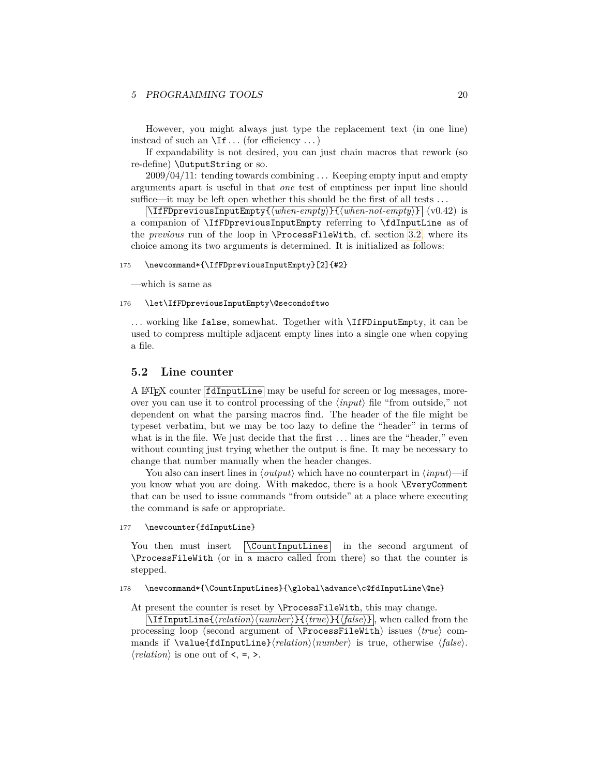However, you might always just type the replacement text (in one line) instead of such an  $\setminus$ If ... (for efficiency ...)

If expandability is not desired, you can just chain macros that rework (so re-define) \OutputString or so.

2009/04/11: tending towards combining . . . Keeping empty input and empty arguments apart is useful in that *one* test of emptiness per input line should suffice—it may be left open whether this should be the first of all tests ...

 $\overline{\LARGE{\text{If}}$  **FDpreviousInputEmpty** $\{\langle when\text{-}empty\}\}$  $\overline{\{\langle when\text{-}not\text{-}empty\}\}\$  $\overline{\{\langle v0.42\}\}}$  is a companion of \IfFDpreviousInputEmpty referring to \fdInputLine as of the *previous* run of the loop in \ProcessFileWith, cf. section [3.2,](#page-8-0) where its choice among its two arguments is determined. It is initialized as follows:

#### 175 \newcommand\*{\IfFDpreviousInputEmpty}[2]{#2}

—which is same as

#### 176 \let\IfFDpreviousInputEmpty\@secondoftwo

... working like false, somewhat. Together with **\IfFDinputEmpty**, it can be used to compress multiple adjacent empty lines into a single one when copying a file.

#### <span id="page-19-0"></span>**5.2 Line counter**

A LATEX counter fdInputLine may be useful for screen or log messages, moreover you can use it to control processing of the  $\langle input \rangle$  file "from outside," not dependent on what the parsing macros find. The header of the file might be typeset verbatim, but we may be too lazy to define the "header" in terms of what is in the file. We just decide that the first  $\dots$  lines are the "header," even without counting just trying whether the output is fine. It may be necessary to change that number manually when the header changes.

You also can insert lines in  $\langle output \rangle$  which have no counterpart in  $\langle input \rangle$ —if you know what you are doing. With makedoc, there is a hook \EveryComment that can be used to issue commands "from outside" at a place where executing the command is safe or appropriate.

177 \newcounter{fdInputLine}

You then must insert **\CountInputLines** in the second argument of \ProcessFileWith (or in a macro called from there) so that the counter is stepped.

#### 178 \newcommand\*{\CountInputLines}{\global\advance\c@fdInputLine\@ne}

At present the counter is reset by \ProcessFileWith, this may change.

 $\left[ \left( \frac{\theta}{\theta} \right) \frac{\theta}{\theta} \right]$ , when called from the processing loop (second argument of \ProcessFileWith) issues  $\langle true \rangle$  commands if  $\valu\in\fdInputLine\}/relation\/number\$  is true, otherwise  $\{false\}$ .  $\langle relation \rangle$  is one out of  $\leq, \leq, \geq$ .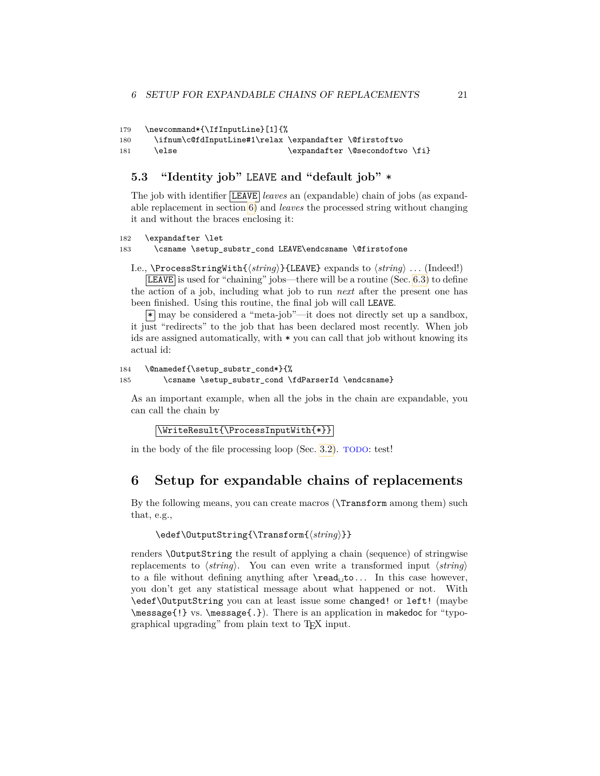```
179 \newcommand*{\IfInputLine}[1]{%
```
180 \ifnum\c@fdInputLine#1\relax \expandafter \@firstoftwo

#### 181 \else \expandafter \@secondoftwo \fi}

#### <span id="page-20-0"></span>**5.3 "Identity job"** LEAVE **and "default job"** \*

The job with identifier LEAVE *leaves* an (expandable) chain of jobs (as expandable replacement in section [6\)](#page-20-1) and *leaves* the processed string without changing it and without the braces enclosing it:

```
182 \expandafter \let
183 \csname \setup_substr_cond LEAVE\endcsname \@firstofone
```
I.e., \ProcessStringWith{ $\{string\}$  {LEAVE} expands to  $\{string\}$  . . . (Indeed!)

LEAVE is used for "chaining" jobs—there will be a routine (Sec. [6.3\)](#page-22-0) to define the action of a job, including what job to run *next* after the present one has been finished. Using this routine, the final job will call LEAVE.

 $\overline{\ast}$  may be considered a "meta-job"—it does not directly set up a sandbox, it just "redirects" to the job that has been declared most recently. When job ids are assigned automatically, with \* you can call that job without knowing its actual id:

```
184 \@namedef{\setup_substr_cond*}{%
185 \csname \setup_substr_cond \fdParserId \endcsname}
```
As an important example, when all the jobs in the chain are expandable, you can call the chain by

```
\WriteResult{\ProcessInputWith{*}}
```
in the body of the file processing loop (Sec. [3.2\)](#page-8-0). TODO: test!

### <span id="page-20-1"></span>**6 Setup for expandable chains of replacements**

By the following means, you can create macros (\Transform among them) such that, e.g.,

#### \edef\OutputString{\Transform{*{string*}}}

renders \OutputString the result of applying a chain (sequence) of stringwise replacements to  $\langle string \rangle$ . You can even write a transformed input  $\langle string \rangle$ to a file without defining anything after  $\read_{\text{t}}$ ... In this case however, you don't get any statistical message about what happened or not. With \edef\OutputString you can at least issue some changed! or left! (maybe \message{!} vs. \message{.}). There is an application in makedoc for "typographical upgrading" from plain text to TEX input.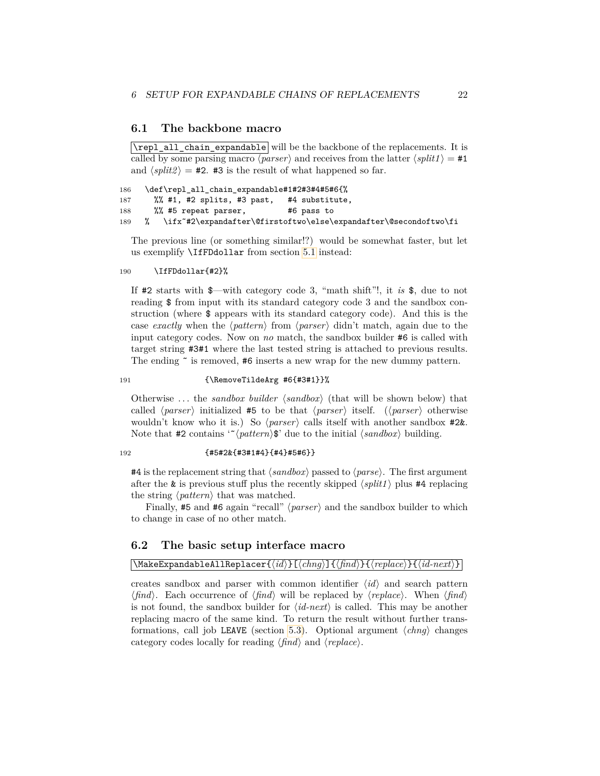#### <span id="page-21-0"></span>**6.1 The backbone macro**

 $\Gamma$  all chain expandable will be the backbone of the replacements. It is called by some parsing macro  $\langle parser \rangle$  and receives from the latter  $\langle split1 \rangle = \text{\#1}$ and  $\langle split2 \rangle = 42$ .  $\#3$  is the result of what happened so far.

```
186 \def\repl_all_chain_expandable#1#2#3#4#5#6{%
187 %% #1, #2 splits, #3 past, #4 substitute,
188 %% #5 repeat parser, #6 pass to
189 % \ifx˜#2\expandafter\@firstoftwo\else\expandafter\@secondoftwo\fi
```
The previous line (or something similar!?) would be somewhat faster, but let us exemplify \IfFDdollar from section [5.1](#page-18-1) instead:

#### 190 \IfFDdollar{#2}%

If #2 starts with \$—with category code 3, "math shift"!, it *is* \$, due to not reading \$ from input with its standard category code 3 and the sandbox construction (where \$ appears with its standard category code). And this is the case *exactly* when the  $\langle pattern \rangle$  from  $\langle parser \rangle$  didn't match, again due to the input category codes. Now on *no* match, the sandbox builder #6 is called with target string #3#1 where the last tested string is attached to previous results. The ending  $\tilde{\ }$  is removed, #6 inserts a new wrap for the new dummy pattern.

#### 191 {\RemoveTildeArg #6{#3#1}}%

Otherwise ... the *sandbox builder*  $\langle \mathit{sandbox} \rangle$  (that will be shown below) that called  $\langle parser \rangle$  initialized #5 to be that  $\langle parser \rangle$  itself. ( $\langle parser \rangle$  otherwise wouldn't know who it is.) So  $\langle parser \rangle$  calls itself with another sandbox #2&. Note that #2 contains  $\lq$ <sup>'</sup> $\lq$ *(pattern*)\$' due to the initial  $\langle \mathit{sandbox} \rangle$  building.

#### 192 {#5#2&{#3#1#4}{#4}#5#6}}

#4 is the replacement string that  $\langle \text{sandbox} \rangle$  passed to  $\langle \text{parse} \rangle$ . The first argument after the  $\&$  is previous stuff plus the recently skipped  $\langle split1 \rangle$  plus #4 replacing the string  $\langle pattern \rangle$  that was matched.

Finally, #5 and #6 again "recall" (*parser*) and the sandbox builder to which to change in case of no other match.

#### <span id="page-21-1"></span>**6.2 The basic setup interface macro**

#### $\mathcal{N}$ MakeExpandableAllReplacer{ $\{id\}$  [ $\langle chng \rangle$ ] $\{ \langle find \rangle$ }{ $\langle replace \rangle$ }{ $\{id-next\}$ }

creates sandbox and parser with common identifier  $\langle id \rangle$  and search pattern  $\langle \text{find} \rangle$ . Each occurrence of  $\langle \text{find} \rangle$  will be replaced by  $\langle \text{replace} \rangle$ . When  $\langle \text{find} \rangle$ is not found, the sandbox builder for  $\langle id\text{-}next\rangle$  is called. This may be another replacing macro of the same kind. To return the result without further trans-formations, call job LEAVE (section [5.3\)](#page-20-0). Optional argument  $\langle chnq \rangle$  changes category codes locally for reading  $\langle \text{find} \rangle$  and  $\langle \text{replace} \rangle$ .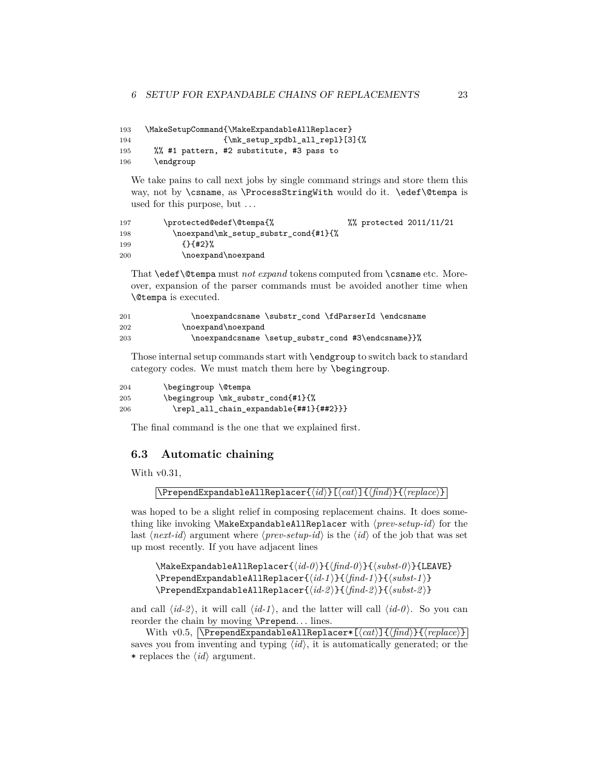```
193 \MakeSetupCommand{\MakeExpandableAllReplacer}
194 {\mk_setup_xpdbl_all_repl}[3]{%
195 %% #1 pattern, #2 substitute, #3 pass to
196 \endgroup
```
We take pains to call next jobs by single command strings and store them this way, not by \csname, as \ProcessStringWith would do it. \edef\@tempa is used for this purpose, but . . .

| 197 | \protected@edef\@tempa{%             | %% protected 2011/11/21 |  |
|-----|--------------------------------------|-------------------------|--|
| 198 | \noexpand\mk_setup_substr_cond{#1}{% |                         |  |
| 199 | ${+142}$                             |                         |  |
| 200 | \noexpand\noexpand                   |                         |  |

That \edef\@tempa must *not expand* tokens computed from \csname etc. Moreover, expansion of the parser commands must be avoided another time when \@tempa is executed.

| 201 | \noexpandcsname \substr cond \fdParserId \endcsname |
|-----|-----------------------------------------------------|
| 202 | \noexpand\noexpand                                  |
| 203 | \noexpandcsname \setup_substr_cond #3\endcsname}}%  |

Those internal setup commands start with \endgroup to switch back to standard category codes. We must match them here by \begingroup.

```
204 \begingroup \@tempa
205 \begingroup \mk_substr_cond{#1}{%
206 \repl_all_chain_expandable{##1}{##2}}}
```
The final command is the one that we explained first.

#### <span id="page-22-0"></span>**6.3 Automatic chaining**

With  $v0.31$ ,

```
\text{PrependExpandableAllReplacer}(\text{id}) \{\langle \text{find} \rangle\} \{\langle \text{find} \rangle\}
```
was hoped to be a slight relief in composing replacement chains. It does something like invoking **\MakeExpandableAllReplacer** with  $\langle prev\text{-}setup\text{-}id \rangle$  for the last  $\langle next-id \rangle$  argument where  $\langle prev-setup-id \rangle$  is the  $\langle id \rangle$  of the job that was set up most recently. If you have adjacent lines

```
\MakeExpandableAllReplacer{\langle id - 0 \rangle}{\langle f, nd - 0 \rangle}{\langle s, u, b \rangle}{LEAVE}
\PPrependExpandableAllReplacer{\langle id - 1 \rangle}{\langle find - 1 \rangle}{\langle subset - 1 \rangle}
\PPrependExpandableAllReplacer{\langle id - 2 \rangle}{\langle find - 2 \rangle}{\langle subst - 2 \rangle}
```
and call  $\langle id - 2 \rangle$ , it will call  $\langle id - 1 \rangle$ , and the latter will call  $\langle id - 0 \rangle$ . So you can reorder the chain by moving \Prepend. . . lines.

With v0.5,  $\text{PrependExpandableAllReplace*}$   $\{\langle cat\rangle\}$   $\{\langle find\rangle\}$   $\{\langle replace\rangle\}$ saves you from inventing and typing  $\langle id \rangle$ , it is automatically generated; or the \* replaces the  $\langle id \rangle$  argument.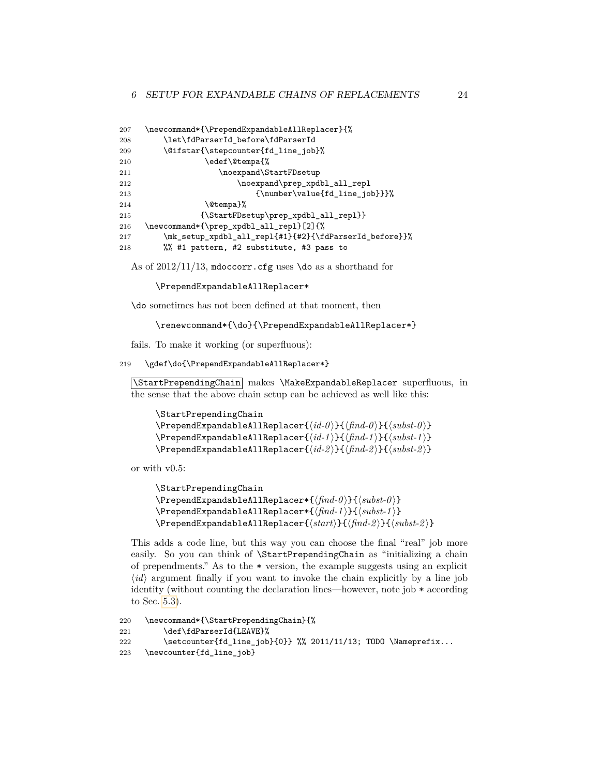| 207 | \newcommand*{\PrependExpandableAllReplacer}{%          |
|-----|--------------------------------------------------------|
| 208 | \let\fdParserId_before\fdParserId                      |
| 209 | \@ifstar{\stepcounter{fd_line_job}%                    |
| 210 | \edef\@tempa{%                                         |
| 211 | \noexpand\StartFDsetup                                 |
| 212 | \noexpand\prep_xpdbl_all_repl                          |
| 213 | {\number\value{fd_line_job}}}%                         |
| 214 | \@tempa}%                                              |
| 215 | ${\Set{HBsetup\preceq xpdbl_all_repl}}$                |
| 216 | \newcommand*{\prep_xpdbl_all_repl}[2]{%                |
| 217 | \mk_setup_xpdbl_all_repl{#1}{#2}{\fdParserId_before}}% |
| 218 | %% #1 pattern, #2 substitute, #3 pass to               |

As of  $2012/11/13$ , mdoccorr.cfg uses \do as a shorthand for

\PrependExpandableAllReplacer\*

\do sometimes has not been defined at that moment, then

\renewcommand\*{\do}{\PrependExpandableAllReplacer\*}

fails. To make it working (or superfluous):

219 \gdef\do{\PrependExpandableAllReplacer\*}

\StartPrependingChain makes \MakeExpandableReplacer superfluous, in the sense that the above chain setup can be achieved as well like this:

```
\StartPrependingChain
\PrependExpandableAllReplacer{\langle id - 0 \rangle}{\langle find - 0 \rangle}{\langle subst - 0 \rangle}
\PPrependExpandableAllReplacer{\langle id - 1 \rangle}{\langle find - 1 \rangle}{\langle subset - 1 \rangle}
\PPrependExpandableAllReplacer{\langle id - 2 \rangle}{\langle find - 2 \rangle}{\langle subst-2 \rangle}
```
or with v0.5:

```
\StartPrependingChain
\PrependExpandableAllReplacer*{\{ \frac{find-0}{}}{\{ \textit{subst-0} \}}
\PrependExpandableAllReplacer*{\{ \fnd-1 \}}{\{ \nsubst-1 \}}
\PrependExpandableAllReplacer{\langle start \rangle}{\langle find-2 \rangle}{\langle subset-2 \rangle}
```
This adds a code line, but this way you can choose the final "real" job more easily. So you can think of \StartPrependingChain as "initializing a chain of prependments." As to the \* version, the example suggests using an explicit  $\langle id \rangle$  argument finally if you want to invoke the chain explicitly by a line job identity (without counting the declaration lines—however, note job \* according to Sec. [5.3\)](#page-20-0).

```
220 \newcommand*{\StartPrependingChain}{%
221 \def\fdParserId{LEAVE}%
222 \setcounter{fd_line_job}{0}} %% 2011/11/13; TODO \Nameprefix...
223 \newcounter{fd_line_job}
```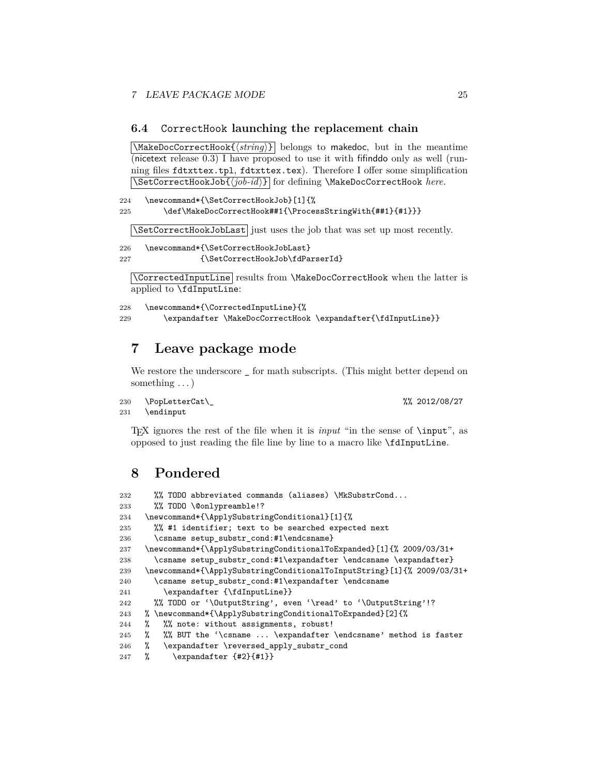#### <span id="page-24-0"></span>**6.4** CorrectHook **launching the replacement chain**

 $\text{MakeDocCorrectHook} \{ \text{string} \}$  belongs to makedoc, but in the meantime (nicetext release 0.3) I have proposed to use it with fifinddo only as well (running files fdtxttex.tpl, fdtxttex.tex). Therefore I offer some simplification \SetCorrectHookJob{h*job-id*i} for defining \MakeDocCorrectHook *here.*

```
224 \newcommand*{\SetCorrectHookJob}[1]{%
225 \def\MakeDocCorrectHook##1{\ProcessStringWith{##1}{#1}}}
```
\SetCorrectHookJobLast just uses the job that was set up most recently.

```
226 \newcommand*{\SetCorrectHookJobLast}
227 {\SetCorrectHookJob\fdParserId}
```
\CorrectedInputLine results from \MakeDocCorrectHook when the latter is applied to \fdInputLine:

```
228 \newcommand*{\CorrectedInputLine}{%
229 \expandafter \MakeDocCorrectHook \expandafter{\fdInputLine}}
```
### <span id="page-24-1"></span>**7 Leave package mode**

We restore the underscore  $\overline{\phantom{a}}$  for math subscripts. (This might better depend on something . . . )

```
230 \PopLetterCat\_ %% 2012/08/27
```

```
231 \endinput
```
TEX ignores the rest of the file when it is *input* "in the sense of \input", as opposed to just reading the file line by line to a macro like \fdInputLine.

### <span id="page-24-2"></span>**8 Pondered**

```
232 %% TODO abbreviated commands (aliases) \MkSubstrCond...
233 %% TODO \@onlypreamble!?
234 \newcommand*{\ApplySubstringConditional}[1]{%
235 %% #1 identifier; text to be searched expected next
236 \csname setup_substr_cond:#1\endcsname}
237 \newcommand*{\ApplySubstringConditionalToExpanded}[1]{% 2009/03/31+
238 \csname setup_substr_cond:#1\expandafter \endcsname \expandafter}
239 \newcommand*{\ApplySubstringConditionalToInputString}[1]{% 2009/03/31+
240 \csname setup_substr_cond:#1\expandafter \endcsname
241 \expandafter {\fdInputLine}}
242 %% TODO or '\OutputString', even '\read' to '\OutputString'!?
243 % \newcommand*{\ApplySubstringConditionalToExpanded}[2]{%
244 % %% note: without assignments, robust!
245 % %% BUT the '\csname ... \expandafter \endcsname' method is faster
246 % \expandafter \reversed_apply_substr_cond
247 % \expandafter {#2}{#1}}
```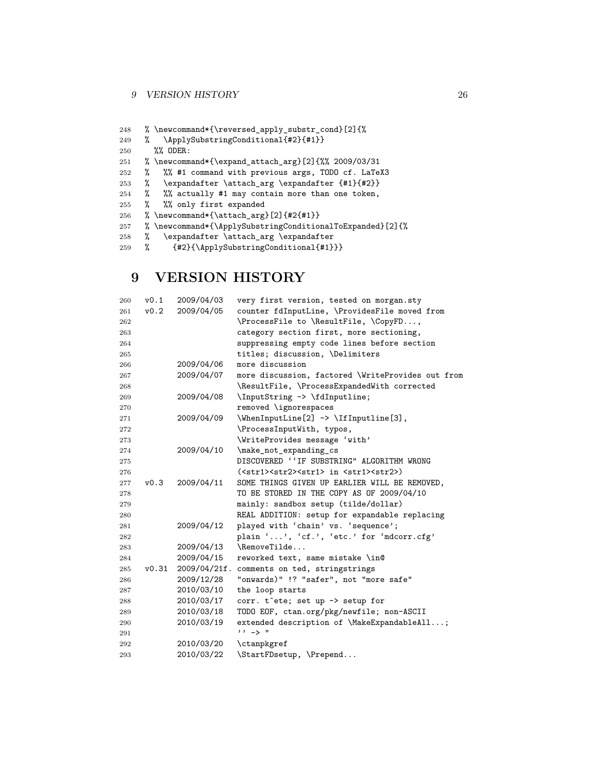### 9 VERSION HISTORY 26

| 248 |   | % \newcommand*{\reversed_apply_substr_cond}[2]{%            |
|-----|---|-------------------------------------------------------------|
| 249 | ℀ | \ApplySubstringConditional{#2}{#1}}                         |
| 250 |   | $\%$ ODER:                                                  |
| 251 |   | %\newcommand*{\expand_attach_arg}[2]{%% 2009/03/31          |
| 252 | ℀ | %% #1 command with previous args, TODO cf. LaTeX3           |
| 253 | ℀ | \expandafter \attach_arg \expandafter {#1}{#2}}             |
| 254 |   | % %% actually #1 may contain more than one token,           |
| 255 | ℀ | %% only first expanded                                      |
| 256 |   | % \newcommand*{\attach_arg}[2]{#2{#1}}                      |
| 257 |   | % \newcommand*{\ApplySubstringConditionalToExpanded} [2] {% |
| 258 | % | \expandafter \attach_arg \expandafter                       |
| 259 | % | {#2}{\ApplySubstringConditional{#1}}}                       |

### <span id="page-25-0"></span>**9 VERSION HISTORY**

| 260 | v0.1  | 2009/04/03   | very first version, tested on morgan.sty                                 |
|-----|-------|--------------|--------------------------------------------------------------------------|
| 261 | v0.2  | 2009/04/05   | counter fdInputLine, \ProvidesFile moved from                            |
| 262 |       |              | \ProcessFile to \ResultFile, \CopyFD,                                    |
| 263 |       |              | category section first, more sectioning,                                 |
| 264 |       |              | suppressing empty code lines before section                              |
| 265 |       |              | titles; discussion, \Delimiters                                          |
| 266 |       | 2009/04/06   | more discussion                                                          |
| 267 |       | 2009/04/07   | more discussion, factored \WriteProvides out from                        |
| 268 |       |              | \ResultFile, \ProcessExpandedWith corrected                              |
| 269 |       | 2009/04/08   | \InputString -> \fdInputline;                                            |
| 270 |       |              | removed \ignorespaces                                                    |
| 271 |       | 2009/04/09   | \WhenInputLine[2] -> \IfInputline[3],                                    |
| 272 |       |              | \ProcessInputWith, typos,                                                |
| 273 |       |              | \WriteProvides message 'with'                                            |
| 274 |       | 2009/04/10   | \make_not_expanding_cs                                                   |
| 275 |       |              | DISCOVERED ''IF SUBSTRING" ALGORITHM WRONG                               |
| 276 |       |              | ( <str1><str2><str1> in <str1><str2>)</str2></str1></str1></str2></str1> |
| 277 | v0.3  | 2009/04/11   | SOME THINGS GIVEN UP EARLIER WILL BE REMOVED,                            |
| 278 |       |              | TO BE STORED IN THE COPY AS OF 2009/04/10                                |
| 279 |       |              | mainly: sandbox setup (tilde/dollar)                                     |
| 280 |       |              | REAL ADDITION: setup for expandable replacing                            |
| 281 |       | 2009/04/12   | played with 'chain' vs. 'sequence';                                      |
| 282 |       |              | plain '', 'cf.', 'etc.' for 'mdcorr.cfg'                                 |
| 283 |       | 2009/04/13   | \RemoveTilde                                                             |
| 284 |       | 2009/04/15   | reworked text, same mistake \in@                                         |
| 285 | v0.31 | 2009/04/21f. | comments on ted, stringstrings                                           |
| 286 |       | 2009/12/28   | "onwards)" !? "safer", not "more safe"                                   |
| 287 |       | 2010/03/10   | the loop starts                                                          |
| 288 |       | 2010/03/17   | corr. t^ete; set up -> setup for                                         |
| 289 |       | 2010/03/18   | TODO EOF, ctan.org/pkg/newfile; non-ASCII                                |
| 290 |       | 2010/03/19   | extended description of \MakeExpandableAll;                              |
| 291 |       |              | $11 - 51$                                                                |
| 292 |       | 2010/03/20   | \ctanpkgref                                                              |
| 293 |       | 2010/03/22   | \StartFDsetup, \Prepend                                                  |
|     |       |              |                                                                          |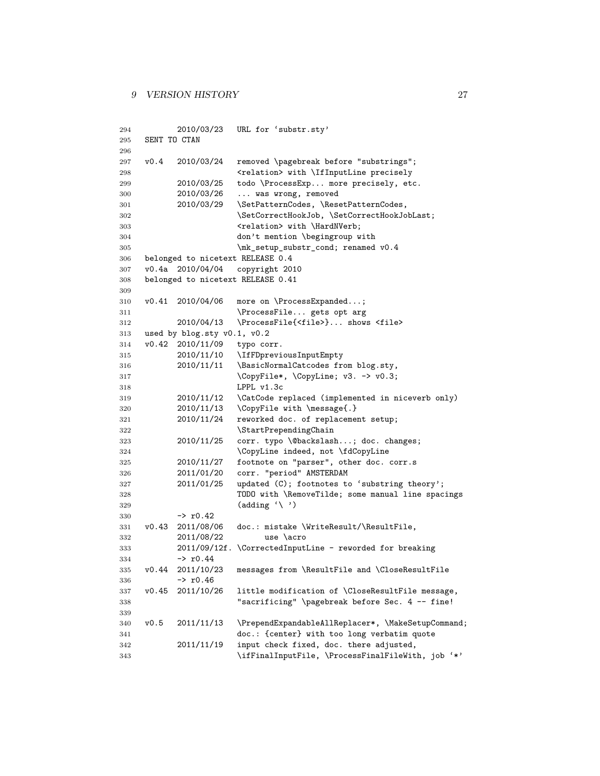```
294 2010/03/23 URL for 'substr.sty'
295 SENT TO CTAN
296
297 v0.4 2010/03/24 removed \pagebreak before "substrings";
298 <relation> with \IfInputLine precisely
299 2010/03/25 todo \ProcessExp... more precisely, etc.
300 2010/03/26 ... was wrong, removed
301 2010/03/29 \SetPatternCodes, \ResetPatternCodes,
302 \SetCorrectHookJob, \SetCorrectHookJobLast;
303 <relation> with \HardNVerb;
304 don't mention \begingroup with
305 \mk_setup_substr_cond; renamed v0.4
306 belonged to nicetext RELEASE 0.4
307 v0.4a 2010/04/04 copyright 2010
308 belonged to nicetext RELEASE 0.41
309
310 v0.41 2010/04/06 more on \ProcessExpanded...;
311 \ProcessFile... gets opt arg
312 2010/04/13 \ProcessFile{<file>}... shows <file>
313 used by blog.sty v0.1, v0.2
314 v0.42 2010/11/09 typo corr.
315 2010/11/10 \IfFDpreviousInputEmpty
316 2010/11/11 \BasicNormalCatcodes from blog.sty,
317 \CopyFile*, \CopyLine; v3. -> v0.3;
318 LPPL v1.3c
319 2010/11/12 \CatCode replaced (implemented in niceverb only)
320 2010/11/13 \CopyFile with \message{.}
321 2010/11/24 reworked doc. of replacement setup;
322 \StartPrependingChain<br>323 2010/11/25 corr. type \@backslasi
323 2010/11/25 corr. typo \@backslash...; doc. changes;
324 \CopyLine indeed, not \fdCopyLine
325 2010/11/27 footnote on "parser", other doc. corr.s
326 2011/01/20 corr. "period" AMSTERDAM
327 2011/01/25 updated (C); footnotes to 'substring theory';
328 TODO with \RemoveTilde; some manual line spacings
329 (adding '\ ')
330 -> r0.42331 v0.43 2011/08/06 doc.: mistake \WriteResult/\ResultFile,
332 2011/08/22 use \acro
333 2011/09/12f. \CorrectedInputLine - reworded for breaking
334 -> r0.44
335 v0.44 2011/10/23 messages from \ResultFile and \CloseResultFile
336 -> r0.46337 v0.45 2011/10/26 little modification of \CloseResultFile message,
338 "sacrificing" \pagebreak before Sec. 4 -- fine!
339
340 v0.5 2011/11/13 \PrependExpandableAllReplacer*, \MakeSetupCommand;
341 doc.: {center} with too long verbatim quote
342 2011/11/19 input check fixed, doc. there adjusted,
343 \ifFinalInputFile, \ProcessFinalFileWith, job '*'
```